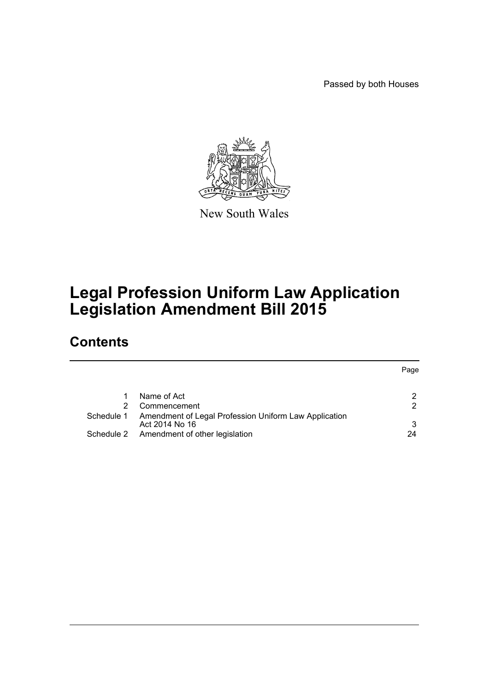Passed by both Houses

Page



New South Wales

# **Legal Profession Uniform Law Application Legislation Amendment Bill 2015**

# **Contents**

|            |                                                       | rage. |
|------------|-------------------------------------------------------|-------|
|            |                                                       |       |
|            | Name of Act                                           |       |
|            | Commencement                                          |       |
| Schedule 1 | Amendment of Legal Profession Uniform Law Application |       |
|            | Act 2014 No 16                                        | 3     |
|            | Schedule 2 Amendment of other legislation             | 24    |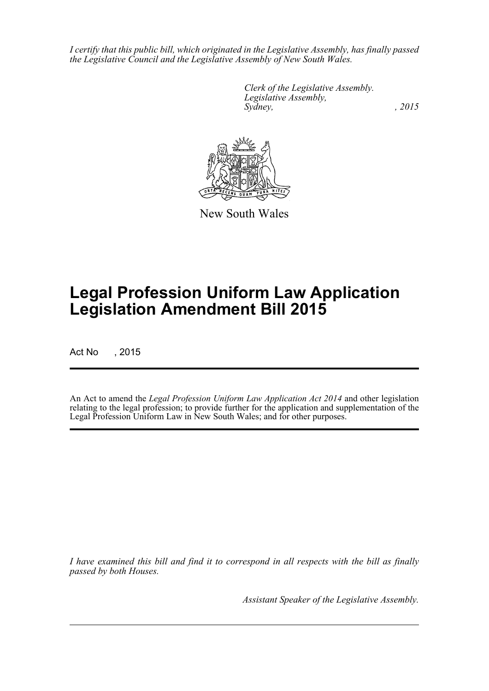*I certify that this public bill, which originated in the Legislative Assembly, has finally passed the Legislative Council and the Legislative Assembly of New South Wales.*

> *Clerk of the Legislative Assembly. Legislative Assembly, Sydney,* , 2015



New South Wales

# **Legal Profession Uniform Law Application Legislation Amendment Bill 2015**

Act No , 2015

An Act to amend the *Legal Profession Uniform Law Application Act 2014* and other legislation relating to the legal profession; to provide further for the application and supplementation of the Legal Profession Uniform Law in New South Wales; and for other purposes.

*I have examined this bill and find it to correspond in all respects with the bill as finally passed by both Houses.*

*Assistant Speaker of the Legislative Assembly.*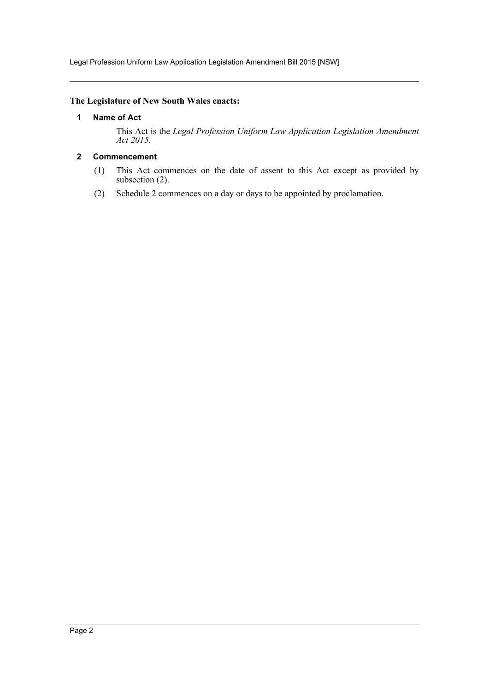Legal Profession Uniform Law Application Legislation Amendment Bill 2015 [NSW]

### <span id="page-2-0"></span>**The Legislature of New South Wales enacts:**

### **1 Name of Act**

This Act is the *Legal Profession Uniform Law Application Legislation Amendment Act 2015*.

### <span id="page-2-1"></span>**2 Commencement**

- (1) This Act commences on the date of assent to this Act except as provided by subsection (2).
- (2) Schedule 2 commences on a day or days to be appointed by proclamation.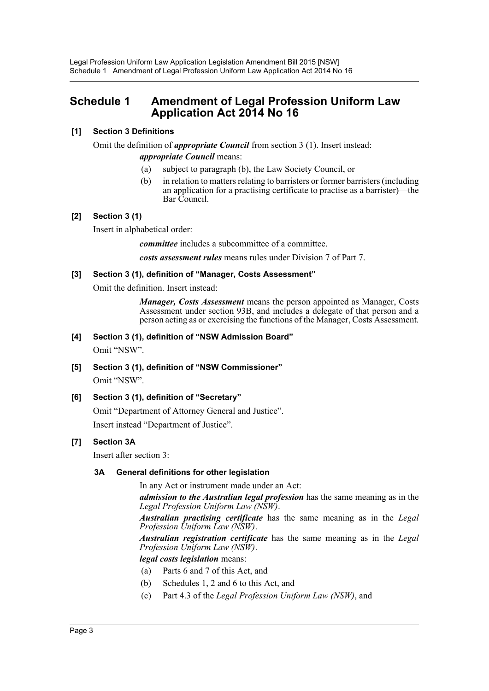# <span id="page-3-0"></span>**Schedule 1 Amendment of Legal Profession Uniform Law Application Act 2014 No 16**

### **[1] Section 3 Definitions**

Omit the definition of *appropriate Council* from section 3 (1). Insert instead: *appropriate Council* means:

- (a) subject to paragraph (b), the Law Society Council, or
- (b) in relation to matters relating to barristers or former barristers (including an application for a practising certificate to practise as a barrister)—the Bar Council.

### **[2] Section 3 (1)**

Insert in alphabetical order:

*committee* includes a subcommittee of a committee.

*costs assessment rules* means rules under Division 7 of Part 7.

### **[3] Section 3 (1), definition of "Manager, Costs Assessment"**

Omit the definition. Insert instead:

*Manager, Costs Assessment* means the person appointed as Manager, Costs Assessment under section 93B, and includes a delegate of that person and a person acting as or exercising the functions of the Manager, Costs Assessment.

**[4] Section 3 (1), definition of "NSW Admission Board"**

Omit "NSW".

- **[5] Section 3 (1), definition of "NSW Commissioner"** Omit "NSW".
- **[6] Section 3 (1), definition of "Secretary"**

Omit "Department of Attorney General and Justice". Insert instead "Department of Justice".

### **[7] Section 3A**

Insert after section 3:

### **3A General definitions for other legislation**

In any Act or instrument made under an Act:

*admission to the Australian legal profession* has the same meaning as in the *Legal Profession Uniform Law (NSW)*.

*Australian practising certificate* has the same meaning as in the *Legal Profession Uniform Law (NSW)*.

*Australian registration certificate* has the same meaning as in the *Legal Profession Uniform Law (NSW)*.

*legal costs legislation* means:

- (a) Parts 6 and 7 of this Act, and
- (b) Schedules 1, 2 and 6 to this Act, and
- (c) Part 4.3 of the *Legal Profession Uniform Law (NSW)*, and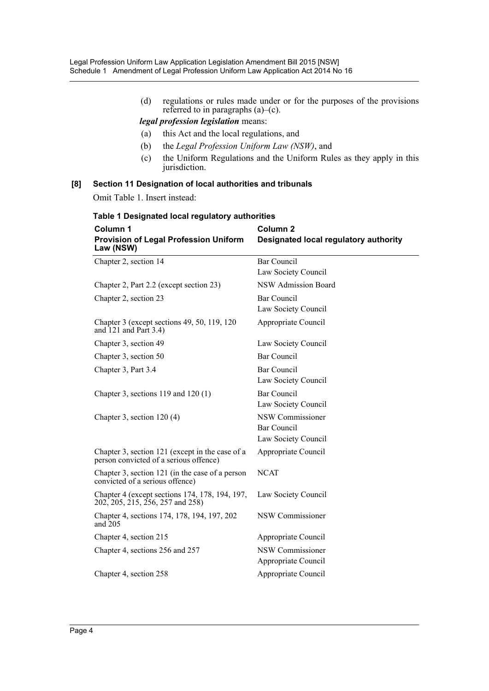(d) regulations or rules made under or for the purposes of the provisions referred to in paragraphs (a)–(c).

*legal profession legislation* means:

- (a) this Act and the local regulations, and
- (b) the *Legal Profession Uniform Law (NSW)*, and
- (c) the Uniform Regulations and the Uniform Rules as they apply in this jurisdiction.

### **[8] Section 11 Designation of local authorities and tribunals**

Omit Table 1. Insert instead:

| Column 1<br><b>Provision of Legal Profession Uniform</b><br>Law (NSW)                     | Column <sub>2</sub><br>Designated local regulatory authority |
|-------------------------------------------------------------------------------------------|--------------------------------------------------------------|
| Chapter 2, section 14                                                                     | <b>Bar Council</b>                                           |
|                                                                                           | Law Society Council                                          |
| Chapter 2, Part 2.2 (except section 23)                                                   | <b>NSW Admission Board</b>                                   |
| Chapter 2, section 23                                                                     | <b>Bar Council</b>                                           |
|                                                                                           | Law Society Council                                          |
| Chapter 3 (except sections 49, 50, 119, 120)<br>and $121$ and Part 3.4)                   | Appropriate Council                                          |
| Chapter 3, section 49                                                                     | Law Society Council                                          |
| Chapter 3, section 50                                                                     | Bar Council                                                  |
| Chapter 3, Part 3.4                                                                       | <b>Bar Council</b>                                           |
|                                                                                           | Law Society Council                                          |
| Chapter 3, sections $119$ and $120(1)$                                                    | Bar Council                                                  |
|                                                                                           | Law Society Council                                          |
| Chapter 3, section $120(4)$                                                               | NSW Commissioner                                             |
|                                                                                           | <b>Bar Council</b>                                           |
|                                                                                           | Law Society Council                                          |
| Chapter 3, section 121 (except in the case of a<br>person convicted of a serious offence) | Appropriate Council                                          |
| Chapter 3, section 121 (in the case of a person<br>convicted of a serious offence)        | <b>NCAT</b>                                                  |
| Chapter 4 (except sections 174, 178, 194, 197,<br>202, 205, 215, 256, 257 and 258)        | Law Society Council                                          |
| Chapter 4, sections 174, 178, 194, 197, 202<br>and $205$                                  | NSW Commissioner                                             |
| Chapter 4, section 215                                                                    | Appropriate Council                                          |
| Chapter 4, sections 256 and 257                                                           | NSW Commissioner                                             |
|                                                                                           | Appropriate Council                                          |
| Chapter 4, section 258                                                                    | Appropriate Council                                          |

# **Table 1 Designated local regulatory authorities**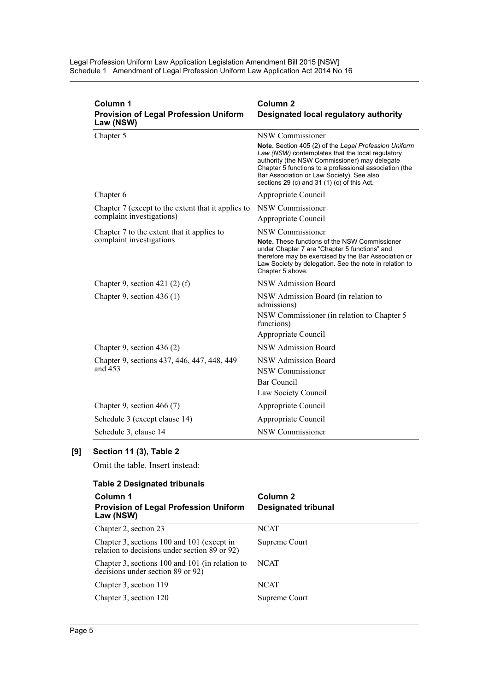Legal Profession Uniform Law Application Legislation Amendment Bill 2015 [NSW] Schedule 1 Amendment of Legal Profession Uniform Law Application Act 2014 No 16

| Column 1<br><b>Provision of Legal Profession Uniform</b><br>Law (NSW)           | Column <sub>2</sub><br>Designated local regulatory authority                                                                                                                                                                                                                                                                         |
|---------------------------------------------------------------------------------|--------------------------------------------------------------------------------------------------------------------------------------------------------------------------------------------------------------------------------------------------------------------------------------------------------------------------------------|
| Chapter 5                                                                       | NSW Commissioner<br>Note. Section 405 (2) of the Legal Profession Uniform<br>Law (NSW) contemplates that the local regulatory<br>authority (the NSW Commissioner) may delegate<br>Chapter 5 functions to a professional association (the<br>Bar Association or Law Society). See also<br>sections 29 (c) and 31 (1) (c) of this Act. |
| Chapter 6                                                                       | Appropriate Council                                                                                                                                                                                                                                                                                                                  |
| Chapter 7 (except to the extent that it applies to<br>complaint investigations) | NSW Commissioner<br>Appropriate Council                                                                                                                                                                                                                                                                                              |
| Chapter 7 to the extent that it applies to<br>complaint investigations          | NSW Commissioner<br>Note. These functions of the NSW Commissioner<br>under Chapter 7 are "Chapter 5 functions" and<br>therefore may be exercised by the Bar Association or<br>Law Society by delegation. See the note in relation to<br>Chapter 5 above.                                                                             |
| Chapter 9, section 421 $(2)$ $(f)$                                              | NSW Admission Board                                                                                                                                                                                                                                                                                                                  |
| Chapter 9, section $436(1)$                                                     | NSW Admission Board (in relation to<br>admissions)<br>NSW Commissioner (in relation to Chapter 5<br>functions)<br>Appropriate Council                                                                                                                                                                                                |
| Chapter 9, section 436 $(2)$                                                    | NSW Admission Board                                                                                                                                                                                                                                                                                                                  |
| Chapter 9, sections 437, 446, 447, 448, 449<br>and 453                          | NSW Admission Board<br>NSW Commissioner<br>Bar Council<br>Law Society Council                                                                                                                                                                                                                                                        |
| Chapter 9, section 466 $(7)$                                                    | Appropriate Council                                                                                                                                                                                                                                                                                                                  |
| Schedule 3 (except clause 14)                                                   | Appropriate Council                                                                                                                                                                                                                                                                                                                  |
| Schedule 3, clause 14                                                           | NSW Commissioner                                                                                                                                                                                                                                                                                                                     |

# **[9] Section 11 (3), Table 2**

Omit the table. Insert instead:

| <b>Table 2 Designated tribunals</b>                                                         |                     |  |  |  |
|---------------------------------------------------------------------------------------------|---------------------|--|--|--|
| Column 1                                                                                    | Column <sub>2</sub> |  |  |  |
| <b>Provision of Legal Profession Uniform</b><br>Law (NSW)                                   | Designated tribunal |  |  |  |
| Chapter 2, section 23                                                                       | <b>NCAT</b>         |  |  |  |
| Chapter 3, sections 100 and 101 (except in<br>relation to decisions under section 89 or 92) | Supreme Court       |  |  |  |
| Chapter 3, sections 100 and 101 (in relation to<br>decisions under section 89 or 92)        | <b>NCAT</b>         |  |  |  |
| Chapter 3, section 119                                                                      | <b>NCAT</b>         |  |  |  |
| Chapter 3, section 120                                                                      | Supreme Court       |  |  |  |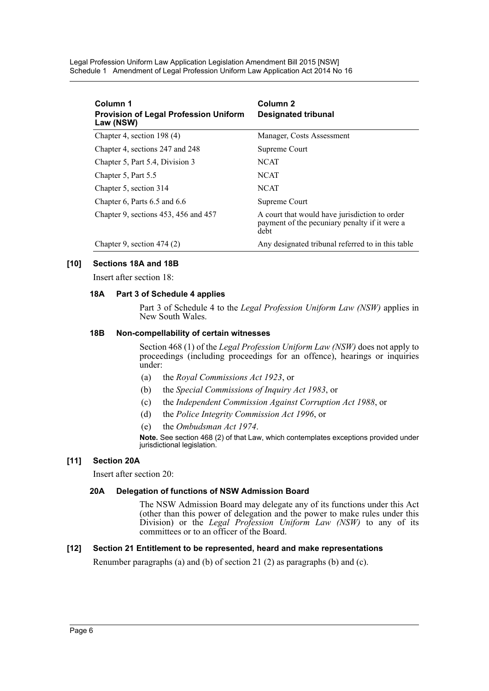Legal Profession Uniform Law Application Legislation Amendment Bill 2015 [NSW] Schedule 1 Amendment of Legal Profession Uniform Law Application Act 2014 No 16

| Column 1<br><b>Provision of Legal Profession Uniform</b><br>Law (NSW) | Column <sub>2</sub><br><b>Designated tribunal</b>                                                      |
|-----------------------------------------------------------------------|--------------------------------------------------------------------------------------------------------|
| Chapter 4, section 198 (4)                                            | Manager, Costs Assessment                                                                              |
| Chapter 4, sections 247 and 248                                       | Supreme Court                                                                                          |
| Chapter 5, Part 5.4, Division 3                                       | <b>NCAT</b>                                                                                            |
| Chapter 5, Part 5.5                                                   | <b>NCAT</b>                                                                                            |
| Chapter 5, section 314                                                | <b>NCAT</b>                                                                                            |
| Chapter 6, Parts $6.5$ and $6.6$                                      | Supreme Court                                                                                          |
| Chapter 9, sections 453, 456 and 457                                  | A court that would have jurisdiction to order<br>payment of the pecuniary penalty if it were a<br>debt |
| Chapter 9, section $474(2)$                                           | Any designated tribunal referred to in this table                                                      |

### **[10] Sections 18A and 18B**

Insert after section 18:

#### **18A Part 3 of Schedule 4 applies**

Part 3 of Schedule 4 to the *Legal Profession Uniform Law (NSW)* applies in New South Wales.

#### **18B Non-compellability of certain witnesses**

Section 468 (1) of the *Legal Profession Uniform Law (NSW)* does not apply to proceedings (including proceedings for an offence), hearings or inquiries under:

- (a) the *Royal Commissions Act 1923*, or
- (b) the *Special Commissions of Inquiry Act 1983*, or
- (c) the *Independent Commission Against Corruption Act 1988*, or
- (d) the *Police Integrity Commission Act 1996*, or
- (e) the *Ombudsman Act 1974*.

**Note.** See section 468 (2) of that Law, which contemplates exceptions provided under jurisdictional legislation.

#### **[11] Section 20A**

Insert after section 20:

#### **20A Delegation of functions of NSW Admission Board**

The NSW Admission Board may delegate any of its functions under this Act (other than this power of delegation and the power to make rules under this Division) or the *Legal Profession Uniform Law (NSW)* to any of its committees or to an officer of the Board.

### **[12] Section 21 Entitlement to be represented, heard and make representations**

Renumber paragraphs (a) and (b) of section 21 (2) as paragraphs (b) and (c).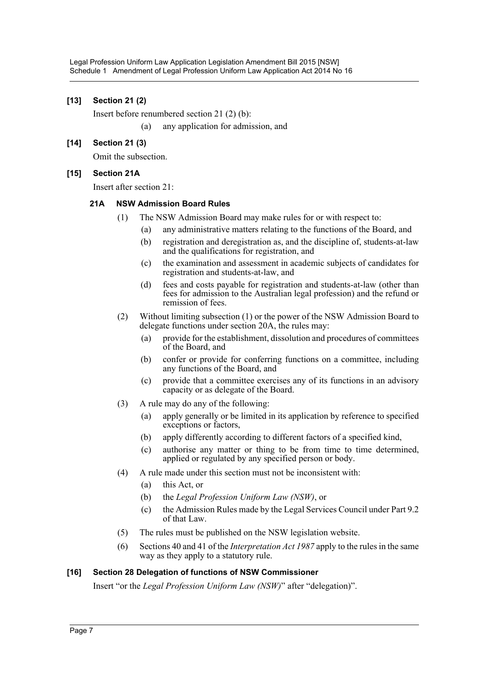### **[13] Section 21 (2)**

Insert before renumbered section 21 (2) (b):

(a) any application for admission, and

### **[14] Section 21 (3)**

Omit the subsection.

### **[15] Section 21A**

Insert after section 21:

### **21A NSW Admission Board Rules**

- (1) The NSW Admission Board may make rules for or with respect to:
	- (a) any administrative matters relating to the functions of the Board, and
	- (b) registration and deregistration as, and the discipline of, students-at-law and the qualifications for registration, and
	- (c) the examination and assessment in academic subjects of candidates for registration and students-at-law, and
	- (d) fees and costs payable for registration and students-at-law (other than fees for admission to the Australian legal profession) and the refund or remission of fees.
- (2) Without limiting subsection (1) or the power of the NSW Admission Board to delegate functions under section 20A, the rules may:
	- (a) provide for the establishment, dissolution and procedures of committees of the Board, and
	- (b) confer or provide for conferring functions on a committee, including any functions of the Board, and
	- (c) provide that a committee exercises any of its functions in an advisory capacity or as delegate of the Board.
- (3) A rule may do any of the following:
	- (a) apply generally or be limited in its application by reference to specified exceptions or factors,
	- (b) apply differently according to different factors of a specified kind,
	- (c) authorise any matter or thing to be from time to time determined, applied or regulated by any specified person or body.
- (4) A rule made under this section must not be inconsistent with:
	- (a) this Act, or
	- (b) the *Legal Profession Uniform Law (NSW)*, or
	- (c) the Admission Rules made by the Legal Services Council under Part 9.2 of that Law.
- (5) The rules must be published on the NSW legislation website.
- (6) Sections 40 and 41 of the *Interpretation Act 1987* apply to the rules in the same way as they apply to a statutory rule.

### **[16] Section 28 Delegation of functions of NSW Commissioner**

Insert "or the *Legal Profession Uniform Law (NSW)*" after "delegation)".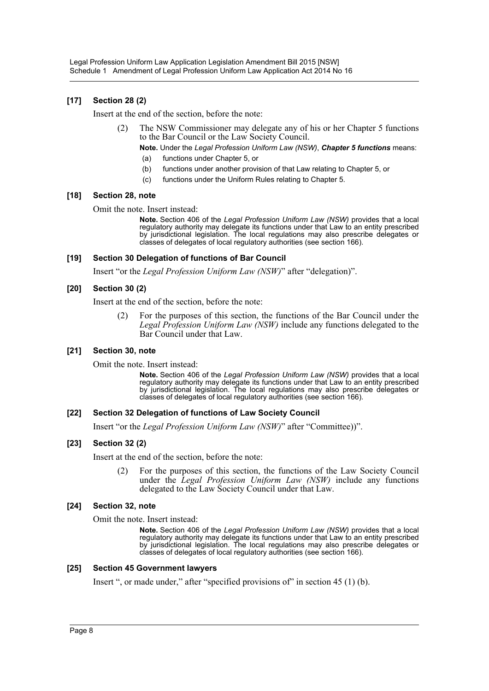### **[17] Section 28 (2)**

Insert at the end of the section, before the note:

(2) The NSW Commissioner may delegate any of his or her Chapter 5 functions to the Bar Council or the Law Society Council.

**Note.** Under the *Legal Profession Uniform Law (NSW)*, *Chapter 5 functions* means:

- (a) functions under Chapter 5, or
- (b) functions under another provision of that Law relating to Chapter 5, or
- (c) functions under the Uniform Rules relating to Chapter 5.

#### **[18] Section 28, note**

Omit the note. Insert instead:

**Note.** Section 406 of the *Legal Profession Uniform Law (NSW)* provides that a local regulatory authority may delegate its functions under that Law to an entity prescribed by jurisdictional legislation. The local regulations may also prescribe delegates or classes of delegates of local regulatory authorities (see section 166).

#### **[19] Section 30 Delegation of functions of Bar Council**

Insert "or the *Legal Profession Uniform Law (NSW)*" after "delegation)".

#### **[20] Section 30 (2)**

Insert at the end of the section, before the note:

(2) For the purposes of this section, the functions of the Bar Council under the *Legal Profession Uniform Law (NSW)* include any functions delegated to the Bar Council under that Law.

#### **[21] Section 30, note**

Omit the note. Insert instead:

**Note.** Section 406 of the *Legal Profession Uniform Law (NSW)* provides that a local regulatory authority may delegate its functions under that Law to an entity prescribed by jurisdictional legislation. The local regulations may also prescribe delegates or classes of delegates of local regulatory authorities (see section 166).

### **[22] Section 32 Delegation of functions of Law Society Council**

Insert "or the *Legal Profession Uniform Law (NSW)*" after "Committee))".

### **[23] Section 32 (2)**

Insert at the end of the section, before the note:

(2) For the purposes of this section, the functions of the Law Society Council under the *Legal Profession Uniform Law (NSW)* include any functions delegated to the Law Society Council under that Law.

### **[24] Section 32, note**

Omit the note. Insert instead:

**Note.** Section 406 of the *Legal Profession Uniform Law (NSW)* provides that a local regulatory authority may delegate its functions under that Law to an entity prescribed by jurisdictional legislation. The local regulations may also prescribe delegates or classes of delegates of local regulatory authorities (see section 166).

#### **[25] Section 45 Government lawyers**

Insert ", or made under," after "specified provisions of" in section 45 (1) (b).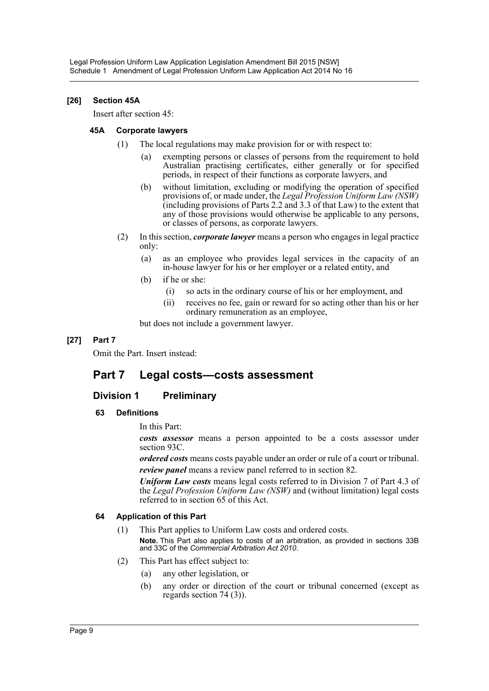### **[26] Section 45A**

Insert after section 45:

### **45A Corporate lawyers**

- (1) The local regulations may make provision for or with respect to:
	- (a) exempting persons or classes of persons from the requirement to hold Australian practising certificates, either generally or for specified periods, in respect of their functions as corporate lawyers, and
	- (b) without limitation, excluding or modifying the operation of specified provisions of, or made under, the *Legal Profession Uniform Law (NSW)* (including provisions of Parts 2.2 and 3.3 of that Law) to the extent that any of those provisions would otherwise be applicable to any persons, or classes of persons, as corporate lawyers.
- (2) In this section, *corporate lawyer* means a person who engages in legal practice only:
	- (a) as an employee who provides legal services in the capacity of an in-house lawyer for his or her employer or a related entity, and
	- (b) if he or she:
		- (i) so acts in the ordinary course of his or her employment, and
		- (ii) receives no fee, gain or reward for so acting other than his or her ordinary remuneration as an employee,

but does not include a government lawyer.

### **[27] Part 7**

Omit the Part. Insert instead:

# **Part 7 Legal costs—costs assessment**

### **Division 1 Preliminary**

### **63 Definitions**

In this Part:

*costs assessor* means a person appointed to be a costs assessor under section 93C.

*ordered costs* means costs payable under an order or rule of a court or tribunal. *review panel* means a review panel referred to in section 82.

*Uniform Law costs* means legal costs referred to in Division 7 of Part 4.3 of the *Legal Profession Uniform Law (NSW)* and (without limitation) legal costs referred to in section 65 of this Act.

### **64 Application of this Part**

- (1) This Part applies to Uniform Law costs and ordered costs. **Note.** This Part also applies to costs of an arbitration, as provided in sections 33B and 33C of the *Commercial Arbitration Act 2010*.
- (2) This Part has effect subject to:
	- (a) any other legislation, or
	- (b) any order or direction of the court or tribunal concerned (except as regards section 74 (3)).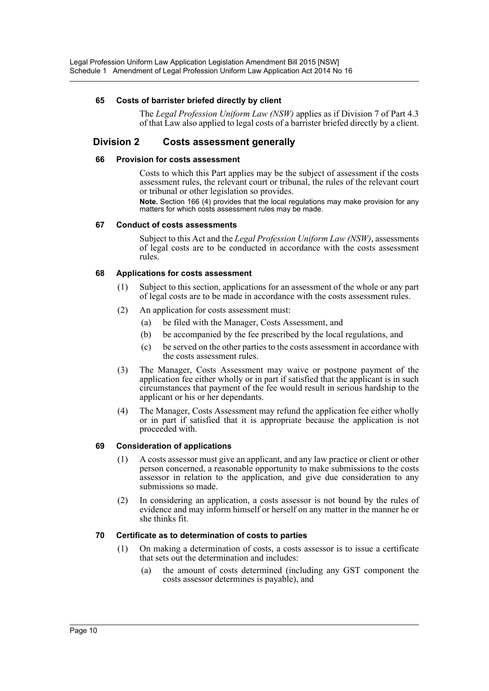### **65 Costs of barrister briefed directly by client**

The *Legal Profession Uniform Law (NSW)* applies as if Division 7 of Part 4.3 of that Law also applied to legal costs of a barrister briefed directly by a client.

### **Division 2 Costs assessment generally**

### **66 Provision for costs assessment**

Costs to which this Part applies may be the subject of assessment if the costs assessment rules, the relevant court or tribunal, the rules of the relevant court or tribunal or other legislation so provides.

**Note.** Section 166 (4) provides that the local regulations may make provision for any matters for which costs assessment rules may be made.

#### **67 Conduct of costs assessments**

Subject to this Act and the *Legal Profession Uniform Law (NSW)*, assessments of legal costs are to be conducted in accordance with the costs assessment rules.

### **68 Applications for costs assessment**

- (1) Subject to this section, applications for an assessment of the whole or any part of legal costs are to be made in accordance with the costs assessment rules.
- (2) An application for costs assessment must:
	- (a) be filed with the Manager, Costs Assessment, and
	- (b) be accompanied by the fee prescribed by the local regulations, and
	- (c) be served on the other parties to the costs assessment in accordance with the costs assessment rules.
- (3) The Manager, Costs Assessment may waive or postpone payment of the application fee either wholly or in part if satisfied that the applicant is in such circumstances that payment of the fee would result in serious hardship to the applicant or his or her dependants.
- (4) The Manager, Costs Assessment may refund the application fee either wholly or in part if satisfied that it is appropriate because the application is not proceeded with.

### **69 Consideration of applications**

- (1) A costs assessor must give an applicant, and any law practice or client or other person concerned, a reasonable opportunity to make submissions to the costs assessor in relation to the application, and give due consideration to any submissions so made.
- (2) In considering an application, a costs assessor is not bound by the rules of evidence and may inform himself or herself on any matter in the manner he or she thinks fit.

### **70 Certificate as to determination of costs to parties**

- (1) On making a determination of costs, a costs assessor is to issue a certificate that sets out the determination and includes:
	- (a) the amount of costs determined (including any GST component the costs assessor determines is payable), and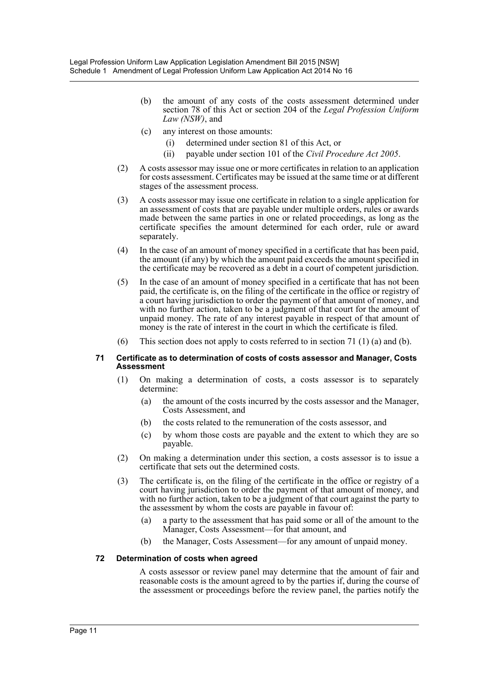- (b) the amount of any costs of the costs assessment determined under section 78 of this Act or section 204 of the *Legal Profession Uniform Law (NSW)*, and
- (c) any interest on those amounts:
	- (i) determined under section 81 of this Act, or
	- (ii) payable under section 101 of the *Civil Procedure Act 2005*.
- (2) A costs assessor may issue one or more certificates in relation to an application for costs assessment. Certificates may be issued at the same time or at different stages of the assessment process.
- (3) A costs assessor may issue one certificate in relation to a single application for an assessment of costs that are payable under multiple orders, rules or awards made between the same parties in one or related proceedings, as long as the certificate specifies the amount determined for each order, rule or award separately.
- (4) In the case of an amount of money specified in a certificate that has been paid, the amount (if any) by which the amount paid exceeds the amount specified in the certificate may be recovered as a debt in a court of competent jurisdiction.
- (5) In the case of an amount of money specified in a certificate that has not been paid, the certificate is, on the filing of the certificate in the office or registry of a court having jurisdiction to order the payment of that amount of money, and with no further action, taken to be a judgment of that court for the amount of unpaid money. The rate of any interest payable in respect of that amount of money is the rate of interest in the court in which the certificate is filed.
- (6) This section does not apply to costs referred to in section 71 (1) (a) and (b).

#### **71 Certificate as to determination of costs of costs assessor and Manager, Costs Assessment**

- (1) On making a determination of costs, a costs assessor is to separately determine:
	- (a) the amount of the costs incurred by the costs assessor and the Manager, Costs Assessment, and
	- (b) the costs related to the remuneration of the costs assessor, and
	- (c) by whom those costs are payable and the extent to which they are so payable.
- (2) On making a determination under this section, a costs assessor is to issue a certificate that sets out the determined costs.
- (3) The certificate is, on the filing of the certificate in the office or registry of a court having jurisdiction to order the payment of that amount of money, and with no further action, taken to be a judgment of that court against the party to the assessment by whom the costs are payable in favour of:
	- (a) a party to the assessment that has paid some or all of the amount to the Manager, Costs Assessment—for that amount, and
	- (b) the Manager, Costs Assessment—for any amount of unpaid money.

### **72 Determination of costs when agreed**

A costs assessor or review panel may determine that the amount of fair and reasonable costs is the amount agreed to by the parties if, during the course of the assessment or proceedings before the review panel, the parties notify the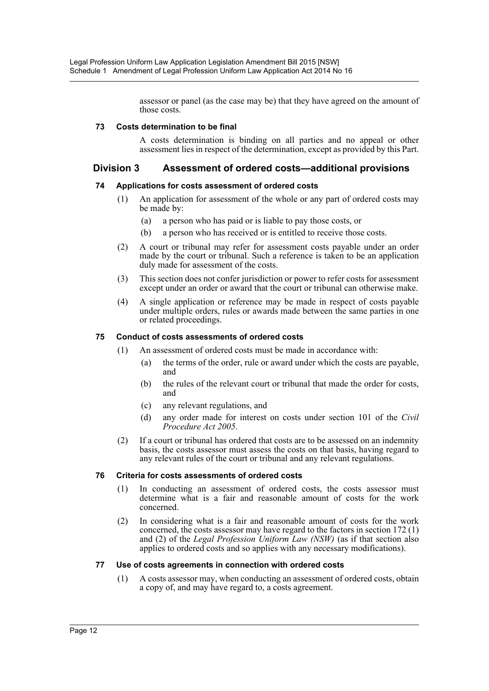assessor or panel (as the case may be) that they have agreed on the amount of those costs.

### **73 Costs determination to be final**

A costs determination is binding on all parties and no appeal or other assessment lies in respect of the determination, except as provided by this Part.

### **Division 3 Assessment of ordered costs—additional provisions**

### **74 Applications for costs assessment of ordered costs**

- (1) An application for assessment of the whole or any part of ordered costs may be made by:
	- (a) a person who has paid or is liable to pay those costs, or
	- (b) a person who has received or is entitled to receive those costs.
- (2) A court or tribunal may refer for assessment costs payable under an order made by the court or tribunal. Such a reference is taken to be an application duly made for assessment of the costs.
- (3) This section does not confer jurisdiction or power to refer costs for assessment except under an order or award that the court or tribunal can otherwise make.
- (4) A single application or reference may be made in respect of costs payable under multiple orders, rules or awards made between the same parties in one or related proceedings.

### **75 Conduct of costs assessments of ordered costs**

- (1) An assessment of ordered costs must be made in accordance with:
	- (a) the terms of the order, rule or award under which the costs are payable, and
	- (b) the rules of the relevant court or tribunal that made the order for costs, and
	- (c) any relevant regulations, and
	- (d) any order made for interest on costs under section 101 of the *Civil Procedure Act 2005*.
- (2) If a court or tribunal has ordered that costs are to be assessed on an indemnity basis, the costs assessor must assess the costs on that basis, having regard to any relevant rules of the court or tribunal and any relevant regulations.

### **76 Criteria for costs assessments of ordered costs**

- (1) In conducting an assessment of ordered costs, the costs assessor must determine what is a fair and reasonable amount of costs for the work concerned.
- (2) In considering what is a fair and reasonable amount of costs for the work concerned, the costs assessor may have regard to the factors in section 172 (1) and (2) of the *Legal Profession Uniform Law (NSW)* (as if that section also applies to ordered costs and so applies with any necessary modifications).

### **77 Use of costs agreements in connection with ordered costs**

(1) A costs assessor may, when conducting an assessment of ordered costs, obtain a copy of, and may have regard to, a costs agreement.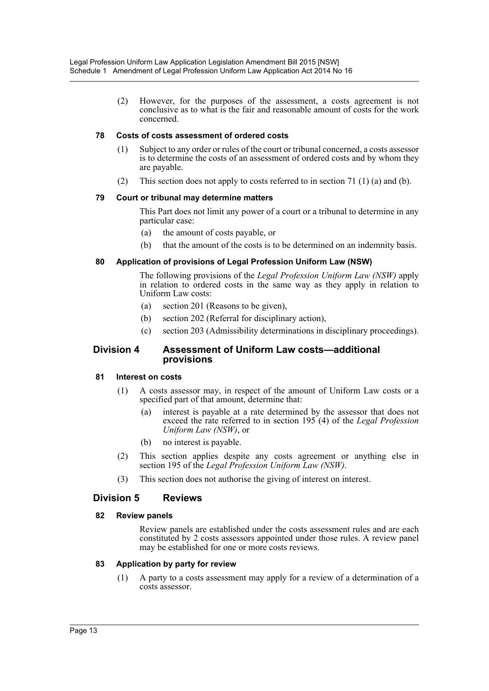(2) However, for the purposes of the assessment, a costs agreement is not conclusive as to what is the fair and reasonable amount of costs for the work concerned.

### **78 Costs of costs assessment of ordered costs**

- (1) Subject to any order or rules of the court or tribunal concerned, a costs assessor is to determine the costs of an assessment of ordered costs and by whom they are payable.
- (2) This section does not apply to costs referred to in section 71 (1) (a) and (b).

### **79 Court or tribunal may determine matters**

This Part does not limit any power of a court or a tribunal to determine in any particular case:

- (a) the amount of costs payable, or
- (b) that the amount of the costs is to be determined on an indemnity basis.

### **80 Application of provisions of Legal Profession Uniform Law (NSW)**

The following provisions of the *Legal Profession Uniform Law (NSW)* apply in relation to ordered costs in the same way as they apply in relation to Uniform Law costs:

- (a) section 201 (Reasons to be given),
- (b) section 202 (Referral for disciplinary action),
- (c) section 203 (Admissibility determinations in disciplinary proceedings).

### **Division 4 Assessment of Uniform Law costs—additional provisions**

### **81 Interest on costs**

- (1) A costs assessor may, in respect of the amount of Uniform Law costs or a specified part of that amount, determine that:
	- (a) interest is payable at a rate determined by the assessor that does not exceed the rate referred to in section 195 (4) of the *Legal Profession Uniform Law (NSW)*, or
	- (b) no interest is payable.
- (2) This section applies despite any costs agreement or anything else in section 195 of the *Legal Profession Uniform Law (NSW)*.
- (3) This section does not authorise the giving of interest on interest.

### **Division 5 Reviews**

### **82 Review panels**

Review panels are established under the costs assessment rules and are each constituted by 2 costs assessors appointed under those rules. A review panel may be established for one or more costs reviews.

### **83 Application by party for review**

(1) A party to a costs assessment may apply for a review of a determination of a costs assessor.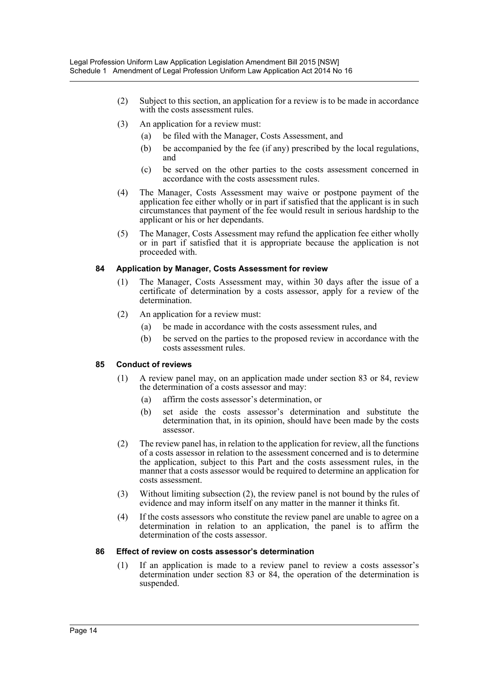- (2) Subject to this section, an application for a review is to be made in accordance with the costs assessment rules.
- (3) An application for a review must:
	- (a) be filed with the Manager, Costs Assessment, and
	- (b) be accompanied by the fee (if any) prescribed by the local regulations, and
	- (c) be served on the other parties to the costs assessment concerned in accordance with the costs assessment rules.
- (4) The Manager, Costs Assessment may waive or postpone payment of the application fee either wholly or in part if satisfied that the applicant is in such circumstances that payment of the fee would result in serious hardship to the applicant or his or her dependants.
- (5) The Manager, Costs Assessment may refund the application fee either wholly or in part if satisfied that it is appropriate because the application is not proceeded with.

### **84 Application by Manager, Costs Assessment for review**

- (1) The Manager, Costs Assessment may, within 30 days after the issue of a certificate of determination by a costs assessor, apply for a review of the determination.
- (2) An application for a review must:
	- (a) be made in accordance with the costs assessment rules, and
	- (b) be served on the parties to the proposed review in accordance with the costs assessment rules.

### **85 Conduct of reviews**

- (1) A review panel may, on an application made under section 83 or 84, review the determination of a costs assessor and may:
	- (a) affirm the costs assessor's determination, or
	- (b) set aside the costs assessor's determination and substitute the determination that, in its opinion, should have been made by the costs assessor.
- (2) The review panel has, in relation to the application for review, all the functions of a costs assessor in relation to the assessment concerned and is to determine the application, subject to this Part and the costs assessment rules, in the manner that a costs assessor would be required to determine an application for costs assessment.
- (3) Without limiting subsection (2), the review panel is not bound by the rules of evidence and may inform itself on any matter in the manner it thinks fit.
- (4) If the costs assessors who constitute the review panel are unable to agree on a determination in relation to an application, the panel is to affirm the determination of the costs assessor.

### **86 Effect of review on costs assessor's determination**

(1) If an application is made to a review panel to review a costs assessor's determination under section 83 or 84, the operation of the determination is suspended.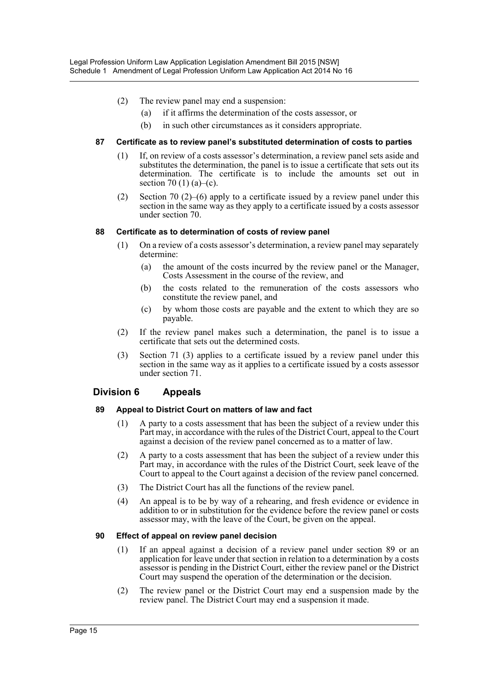- (2) The review panel may end a suspension:
	- (a) if it affirms the determination of the costs assessor, or
	- (b) in such other circumstances as it considers appropriate.

### **87 Certificate as to review panel's substituted determination of costs to parties**

- (1) If, on review of a costs assessor's determination, a review panel sets aside and substitutes the determination, the panel is to issue a certificate that sets out its determination. The certificate is to include the amounts set out in section 70 (1) (a)–(c).
- (2) Section 70 (2)–(6) apply to a certificate issued by a review panel under this section in the same way as they apply to a certificate issued by a costs assessor under section 70.

### **88 Certificate as to determination of costs of review panel**

- (1) On a review of a costs assessor's determination, a review panel may separately determine:
	- (a) the amount of the costs incurred by the review panel or the Manager, Costs Assessment in the course of the review, and
	- (b) the costs related to the remuneration of the costs assessors who constitute the review panel, and
	- (c) by whom those costs are payable and the extent to which they are so payable.
- (2) If the review panel makes such a determination, the panel is to issue a certificate that sets out the determined costs.
- (3) Section 71 (3) applies to a certificate issued by a review panel under this section in the same way as it applies to a certificate issued by a costs assessor under section 71.

### **Division 6 Appeals**

### **89 Appeal to District Court on matters of law and fact**

- (1) A party to a costs assessment that has been the subject of a review under this Part may, in accordance with the rules of the District Court, appeal to the Court against a decision of the review panel concerned as to a matter of law.
- (2) A party to a costs assessment that has been the subject of a review under this Part may, in accordance with the rules of the District Court, seek leave of the Court to appeal to the Court against a decision of the review panel concerned.
- (3) The District Court has all the functions of the review panel.
- (4) An appeal is to be by way of a rehearing, and fresh evidence or evidence in addition to or in substitution for the evidence before the review panel or costs assessor may, with the leave of the Court, be given on the appeal.

### **90 Effect of appeal on review panel decision**

- (1) If an appeal against a decision of a review panel under section 89 or an application for leave under that section in relation to a determination by a costs assessor is pending in the District Court, either the review panel or the District Court may suspend the operation of the determination or the decision.
- (2) The review panel or the District Court may end a suspension made by the review panel. The District Court may end a suspension it made.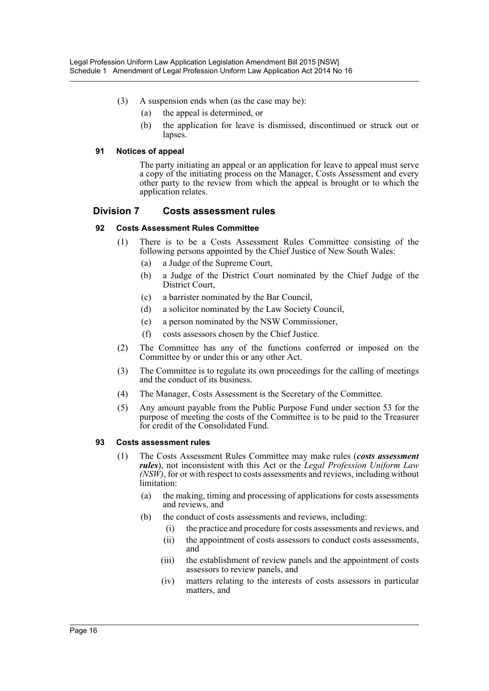- (3) A suspension ends when (as the case may be):
	- (a) the appeal is determined, or
	- (b) the application for leave is dismissed, discontinued or struck out or lapses.

### **91 Notices of appeal**

The party initiating an appeal or an application for leave to appeal must serve a copy of the initiating process on the Manager, Costs Assessment and every other party to the review from which the appeal is brought or to which the application relates.

### **Division 7 Costs assessment rules**

### **92 Costs Assessment Rules Committee**

- (1) There is to be a Costs Assessment Rules Committee consisting of the following persons appointed by the Chief Justice of New South Wales:
	- (a) a Judge of the Supreme Court,
	- (b) a Judge of the District Court nominated by the Chief Judge of the District Court,
	- (c) a barrister nominated by the Bar Council,
	- (d) a solicitor nominated by the Law Society Council,
	- (e) a person nominated by the NSW Commissioner,
	- (f) costs assessors chosen by the Chief Justice.
- (2) The Committee has any of the functions conferred or imposed on the Committee by or under this or any other Act.
- (3) The Committee is to regulate its own proceedings for the calling of meetings and the conduct of its business.
- (4) The Manager, Costs Assessment is the Secretary of the Committee.
- (5) Any amount payable from the Public Purpose Fund under section 53 for the purpose of meeting the costs of the Committee is to be paid to the Treasurer for credit of the Consolidated Fund.

#### **93 Costs assessment rules**

- (1) The Costs Assessment Rules Committee may make rules (*costs assessment rules*), not inconsistent with this Act or the *Legal Profession Uniform Law (NSW)*, for or with respect to costs assessments and reviews, including without limitation:
	- (a) the making, timing and processing of applications for costs assessments and reviews, and
	- (b) the conduct of costs assessments and reviews, including:
		- (i) the practice and procedure for costs assessments and reviews, and
		- (ii) the appointment of costs assessors to conduct costs assessments, and
		- (iii) the establishment of review panels and the appointment of costs assessors to review panels, and
		- (iv) matters relating to the interests of costs assessors in particular matters, and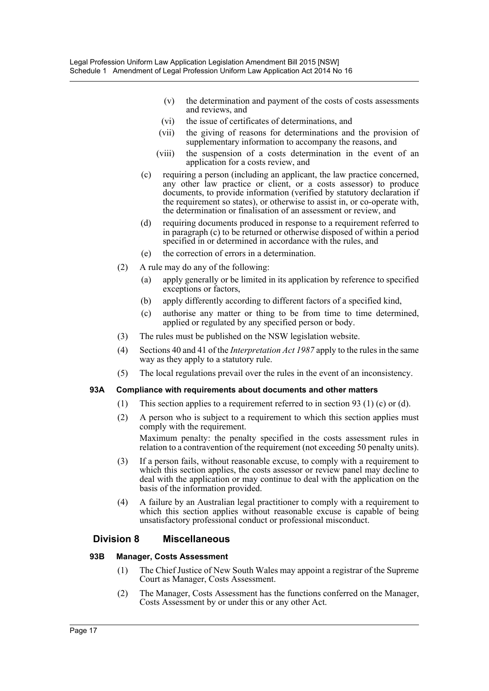- (v) the determination and payment of the costs of costs assessments and reviews, and
- (vi) the issue of certificates of determinations, and
- (vii) the giving of reasons for determinations and the provision of supplementary information to accompany the reasons, and
- (viii) the suspension of a costs determination in the event of an application for a costs review, and
- (c) requiring a person (including an applicant, the law practice concerned, any other law practice or client, or a costs assessor) to produce documents, to provide information (verified by statutory declaration if the requirement so states), or otherwise to assist in, or co-operate with, the determination or finalisation of an assessment or review, and
- (d) requiring documents produced in response to a requirement referred to in paragraph (c) to be returned or otherwise disposed of within a period specified in or determined in accordance with the rules, and
- (e) the correction of errors in a determination.
- (2) A rule may do any of the following:
	- (a) apply generally or be limited in its application by reference to specified exceptions or factors,
	- (b) apply differently according to different factors of a specified kind,
	- (c) authorise any matter or thing to be from time to time determined, applied or regulated by any specified person or body.
- (3) The rules must be published on the NSW legislation website.
- (4) Sections 40 and 41 of the *Interpretation Act 1987* apply to the rules in the same way as they apply to a statutory rule.
- (5) The local regulations prevail over the rules in the event of an inconsistency.

### **93A Compliance with requirements about documents and other matters**

- (1) This section applies to a requirement referred to in section 93 (1) (c) or (d).
- (2) A person who is subject to a requirement to which this section applies must comply with the requirement. Maximum penalty: the penalty specified in the costs assessment rules in relation to a contravention of the requirement (not exceeding 50 penalty units).
- (3) If a person fails, without reasonable excuse, to comply with a requirement to which this section applies, the costs assessor or review panel may decline to deal with the application or may continue to deal with the application on the basis of the information provided.
- (4) A failure by an Australian legal practitioner to comply with a requirement to which this section applies without reasonable excuse is capable of being unsatisfactory professional conduct or professional misconduct.

### **Division 8 Miscellaneous**

### **93B Manager, Costs Assessment**

- (1) The Chief Justice of New South Wales may appoint a registrar of the Supreme Court as Manager, Costs Assessment.
- (2) The Manager, Costs Assessment has the functions conferred on the Manager, Costs Assessment by or under this or any other Act.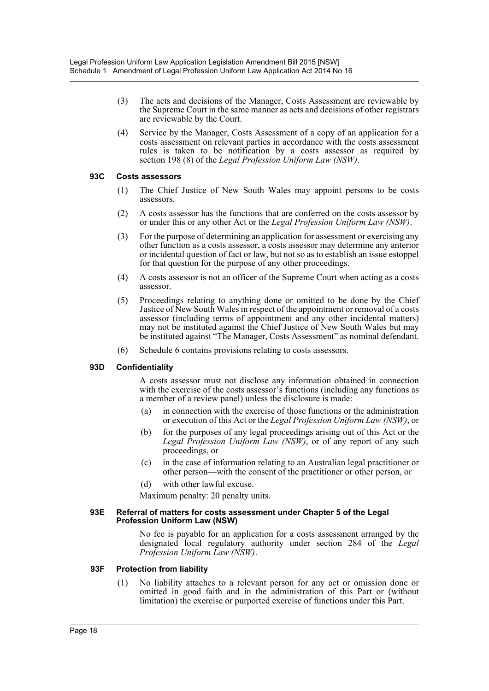- (3) The acts and decisions of the Manager, Costs Assessment are reviewable by the Supreme Court in the same manner as acts and decisions of other registrars are reviewable by the Court.
- (4) Service by the Manager, Costs Assessment of a copy of an application for a costs assessment on relevant parties in accordance with the costs assessment rules is taken to be notification by a costs assessor as required by section 198 (8) of the *Legal Profession Uniform Law (NSW)*.

### **93C Costs assessors**

- (1) The Chief Justice of New South Wales may appoint persons to be costs assessors.
- (2) A costs assessor has the functions that are conferred on the costs assessor by or under this or any other Act or the *Legal Profession Uniform Law (NSW)*.
- (3) For the purpose of determining an application for assessment or exercising any other function as a costs assessor, a costs assessor may determine any anterior or incidental question of fact or law, but not so as to establish an issue estoppel for that question for the purpose of any other proceedings.
- (4) A costs assessor is not an officer of the Supreme Court when acting as a costs assessor.
- (5) Proceedings relating to anything done or omitted to be done by the Chief Justice of New South Wales in respect of the appointment or removal of a costs assessor (including terms of appointment and any other incidental matters) may not be instituted against the Chief Justice of New South Wales but may be instituted against "The Manager, Costs Assessment" as nominal defendant.
- (6) Schedule 6 contains provisions relating to costs assessors.

### **93D Confidentiality**

A costs assessor must not disclose any information obtained in connection with the exercise of the costs assessor's functions (including any functions as a member of a review panel) unless the disclosure is made:

- (a) in connection with the exercise of those functions or the administration or execution of this Act or the *Legal Profession Uniform Law (NSW)*, or
- (b) for the purposes of any legal proceedings arising out of this Act or the *Legal Profession Uniform Law (NSW)*, or of any report of any such proceedings, or
- (c) in the case of information relating to an Australian legal practitioner or other person—with the consent of the practitioner or other person, or
- (d) with other lawful excuse.

Maximum penalty: 20 penalty units.

#### **93E Referral of matters for costs assessment under Chapter 5 of the Legal Profession Uniform Law (NSW)**

No fee is payable for an application for a costs assessment arranged by the designated local regulatory authority under section 284 of the *Legal Profession Uniform Law (NSW)*.

#### **93F Protection from liability**

(1) No liability attaches to a relevant person for any act or omission done or omitted in good faith and in the administration of this Part or (without limitation) the exercise or purported exercise of functions under this Part.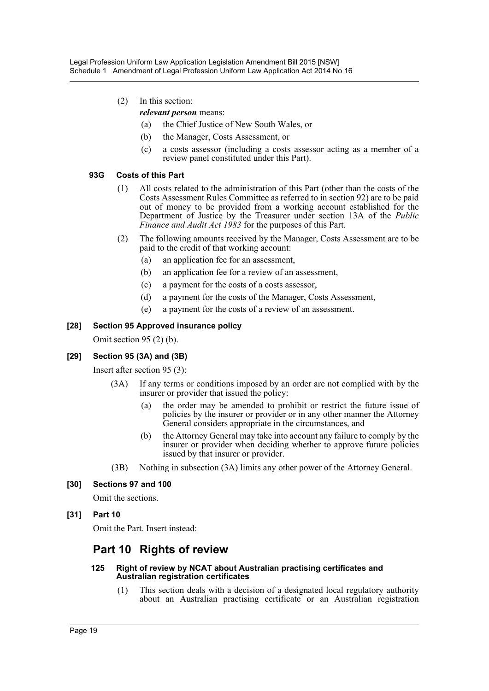- (2) In this section:
	- *relevant person* means:
		- (a) the Chief Justice of New South Wales, or
		- (b) the Manager, Costs Assessment, or
		- (c) a costs assessor (including a costs assessor acting as a member of a review panel constituted under this Part).

### **93G Costs of this Part**

- (1) All costs related to the administration of this Part (other than the costs of the Costs Assessment Rules Committee as referred to in section 92) are to be paid out of money to be provided from a working account established for the Department of Justice by the Treasurer under section 13A of the *Public Finance and Audit Act 1983* for the purposes of this Part.
- (2) The following amounts received by the Manager, Costs Assessment are to be paid to the credit of that working account:
	- (a) an application fee for an assessment,
	- (b) an application fee for a review of an assessment,
	- (c) a payment for the costs of a costs assessor,
	- (d) a payment for the costs of the Manager, Costs Assessment,
	- (e) a payment for the costs of a review of an assessment.

### **[28] Section 95 Approved insurance policy**

Omit section 95 (2) (b).

### **[29] Section 95 (3A) and (3B)**

Insert after section 95 (3):

- (3A) If any terms or conditions imposed by an order are not complied with by the insurer or provider that issued the policy:
	- (a) the order may be amended to prohibit or restrict the future issue of policies by the insurer or provider or in any other manner the Attorney General considers appropriate in the circumstances, and
	- (b) the Attorney General may take into account any failure to comply by the insurer or provider when deciding whether to approve future policies issued by that insurer or provider.
- (3B) Nothing in subsection (3A) limits any other power of the Attorney General.

### **[30] Sections 97 and 100**

Omit the sections.

### **[31] Part 10**

Omit the Part. Insert instead:

# **Part 10 Rights of review**

#### **125 Right of review by NCAT about Australian practising certificates and Australian registration certificates**

(1) This section deals with a decision of a designated local regulatory authority about an Australian practising certificate or an Australian registration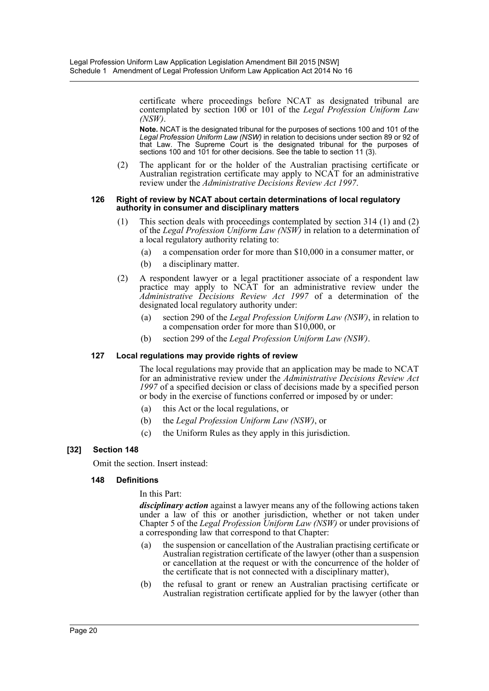certificate where proceedings before NCAT as designated tribunal are contemplated by section 100 or 101 of the *Legal Profession Uniform Law (NSW)*.

**Note.** NCAT is the designated tribunal for the purposes of sections 100 and 101 of the *Legal Profession Uniform Law (NSW)* in relation to decisions under section 89 or 92 of that Law. The Supreme Court is the designated tribunal for the purposes of sections 100 and 101 for other decisions. See the table to section 11 (3).

(2) The applicant for or the holder of the Australian practising certificate or Australian registration certificate may apply to NCAT for an administrative review under the *Administrative Decisions Review Act 1997*.

#### **126 Right of review by NCAT about certain determinations of local regulatory authority in consumer and disciplinary matters**

- (1) This section deals with proceedings contemplated by section 314 (1) and (2) of the *Legal Profession Uniform Law (NSW)* in relation to a determination of a local regulatory authority relating to:
	- (a) a compensation order for more than \$10,000 in a consumer matter, or
	- (b) a disciplinary matter.
- (2) A respondent lawyer or a legal practitioner associate of a respondent law practice may apply to NCAT for an administrative review under the *Administrative Decisions Review Act 1997* of a determination of the designated local regulatory authority under:
	- (a) section 290 of the *Legal Profession Uniform Law (NSW)*, in relation to a compensation order for more than \$10,000, or
	- (b) section 299 of the *Legal Profession Uniform Law (NSW)*.

### **127 Local regulations may provide rights of review**

The local regulations may provide that an application may be made to NCAT for an administrative review under the *Administrative Decisions Review Act 1997* of a specified decision or class of decisions made by a specified person or body in the exercise of functions conferred or imposed by or under:

- (a) this Act or the local regulations, or
- (b) the *Legal Profession Uniform Law (NSW)*, or
- (c) the Uniform Rules as they apply in this jurisdiction.

### **[32] Section 148**

Omit the section. Insert instead:

### **148 Definitions**

In this Part:

*disciplinary action* against a lawyer means any of the following actions taken under a law of this or another jurisdiction, whether or not taken under Chapter 5 of the *Legal Profession Uniform Law (NSW)* or under provisions of a corresponding law that correspond to that Chapter:

- (a) the suspension or cancellation of the Australian practising certificate or Australian registration certificate of the lawyer (other than a suspension or cancellation at the request or with the concurrence of the holder of the certificate that is not connected with a disciplinary matter),
- (b) the refusal to grant or renew an Australian practising certificate or Australian registration certificate applied for by the lawyer (other than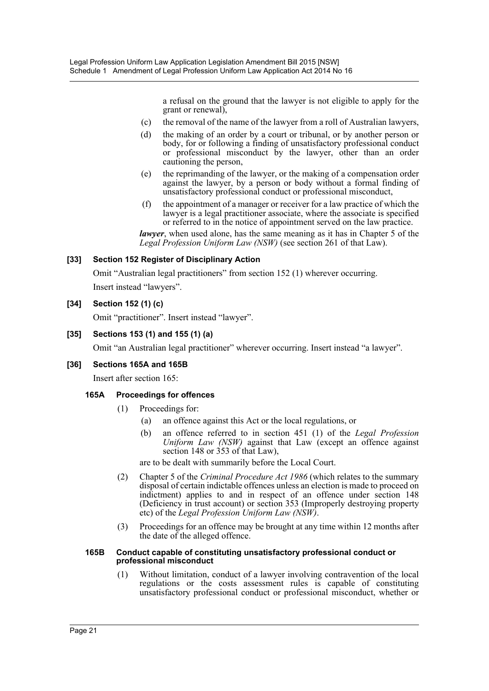a refusal on the ground that the lawyer is not eligible to apply for the grant or renewal),

- (c) the removal of the name of the lawyer from a roll of Australian lawyers,
- (d) the making of an order by a court or tribunal, or by another person or body, for or following a finding of unsatisfactory professional conduct or professional misconduct by the lawyer, other than an order cautioning the person,
- (e) the reprimanding of the lawyer, or the making of a compensation order against the lawyer, by a person or body without a formal finding of unsatisfactory professional conduct or professional misconduct,
- (f) the appointment of a manager or receiver for a law practice of which the lawyer is a legal practitioner associate, where the associate is specified or referred to in the notice of appointment served on the law practice.

*lawyer*, when used alone, has the same meaning as it has in Chapter 5 of the *Legal Profession Uniform Law (NSW)* (see section 261 of that Law).

### **[33] Section 152 Register of Disciplinary Action**

Omit "Australian legal practitioners" from section 152 (1) wherever occurring. Insert instead "lawyers".

### **[34] Section 152 (1) (c)**

Omit "practitioner". Insert instead "lawyer".

### **[35] Sections 153 (1) and 155 (1) (a)**

Omit "an Australian legal practitioner" wherever occurring. Insert instead "a lawyer".

### **[36] Sections 165A and 165B**

Insert after section 165:

### **165A Proceedings for offences**

- (1) Proceedings for:
	- (a) an offence against this Act or the local regulations, or
	- (b) an offence referred to in section 451 (1) of the *Legal Profession Uniform Law (NSW)* against that Law (except an offence against section 148 or 353 of that Law),

are to be dealt with summarily before the Local Court.

- (2) Chapter 5 of the *Criminal Procedure Act 1986* (which relates to the summary disposal of certain indictable offences unless an election is made to proceed on indictment) applies to and in respect of an offence under section 148 (Deficiency in trust account) or section 353 (Improperly destroying property etc) of the *Legal Profession Uniform Law (NSW)*.
- (3) Proceedings for an offence may be brought at any time within 12 months after the date of the alleged offence.

#### **165B Conduct capable of constituting unsatisfactory professional conduct or professional misconduct**

(1) Without limitation, conduct of a lawyer involving contravention of the local regulations or the costs assessment rules is capable of constituting unsatisfactory professional conduct or professional misconduct, whether or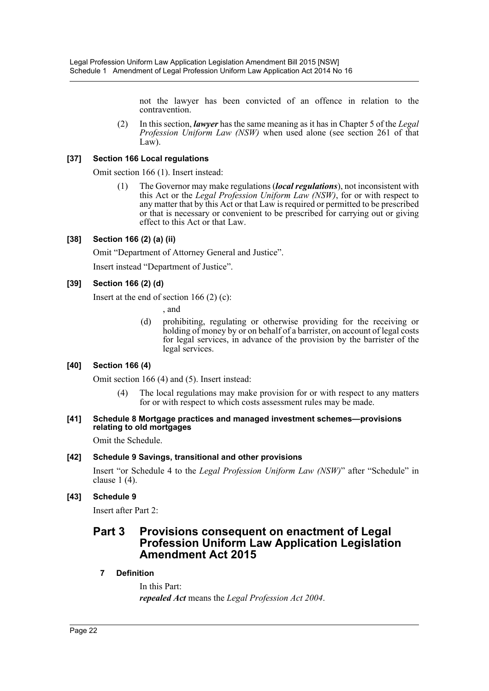not the lawyer has been convicted of an offence in relation to the contravention.

(2) In this section, *lawyer* has the same meaning as it has in Chapter 5 of the *Legal Profession Uniform Law (NSW)* when used alone (see section 261 of that Law).

### **[37] Section 166 Local regulations**

Omit section 166 (1). Insert instead:

(1) The Governor may make regulations (*local regulations*), not inconsistent with this Act or the *Legal Profession Uniform Law (NSW)*, for or with respect to any matter that by this Act or that Law is required or permitted to be prescribed or that is necessary or convenient to be prescribed for carrying out or giving effect to this Act or that Law.

### **[38] Section 166 (2) (a) (ii)**

Omit "Department of Attorney General and Justice".

Insert instead "Department of Justice".

### **[39] Section 166 (2) (d)**

Insert at the end of section  $166(2)(c)$ :

, and

(d) prohibiting, regulating or otherwise providing for the receiving or holding of money by or on behalf of a barrister, on account of legal costs for legal services, in advance of the provision by the barrister of the legal services.

### **[40] Section 166 (4)**

Omit section 166 (4) and (5). Insert instead:

(4) The local regulations may make provision for or with respect to any matters for or with respect to which costs assessment rules may be made.

### **[41] Schedule 8 Mortgage practices and managed investment schemes—provisions relating to old mortgages**

Omit the Schedule.

### **[42] Schedule 9 Savings, transitional and other provisions**

Insert "or Schedule 4 to the *Legal Profession Uniform Law (NSW)*" after "Schedule" in clause 1 (4).

### **[43] Schedule 9**

Insert after Part 2:

# **Part 3 Provisions consequent on enactment of Legal Profession Uniform Law Application Legislation Amendment Act 2015**

### **7 Definition**

In this Part: *repealed Act* means the *Legal Profession Act 2004*.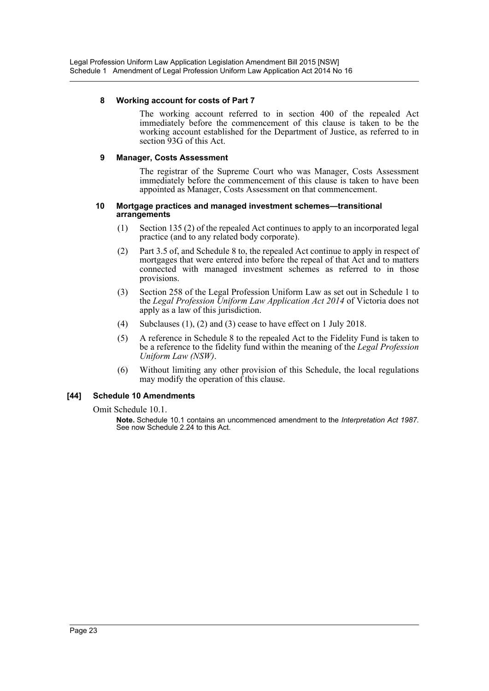### **8 Working account for costs of Part 7**

The working account referred to in section 400 of the repealed Act immediately before the commencement of this clause is taken to be the working account established for the Department of Justice, as referred to in section 93G of this Act.

### **9 Manager, Costs Assessment**

The registrar of the Supreme Court who was Manager, Costs Assessment immediately before the commencement of this clause is taken to have been appointed as Manager, Costs Assessment on that commencement.

#### **10 Mortgage practices and managed investment schemes—transitional arrangements**

- (1) Section 135 (2) of the repealed Act continues to apply to an incorporated legal practice (and to any related body corporate).
- (2) Part 3.5 of, and Schedule 8 to, the repealed Act continue to apply in respect of mortgages that were entered into before the repeal of that Act and to matters connected with managed investment schemes as referred to in those provisions.
- (3) Section 258 of the Legal Profession Uniform Law as set out in Schedule 1 to the *Legal Profession Uniform Law Application Act 2014* of Victoria does not apply as a law of this jurisdiction.
- (4) Subclauses (1), (2) and (3) cease to have effect on 1 July 2018.
- (5) A reference in Schedule 8 to the repealed Act to the Fidelity Fund is taken to be a reference to the fidelity fund within the meaning of the *Legal Profession Uniform Law (NSW)*.
- (6) Without limiting any other provision of this Schedule, the local regulations may modify the operation of this clause.

### **[44] Schedule 10 Amendments**

Omit Schedule 10.1.

**Note.** Schedule 10.1 contains an uncommenced amendment to the *Interpretation Act 1987*. See now Schedule 2.24 to this Act.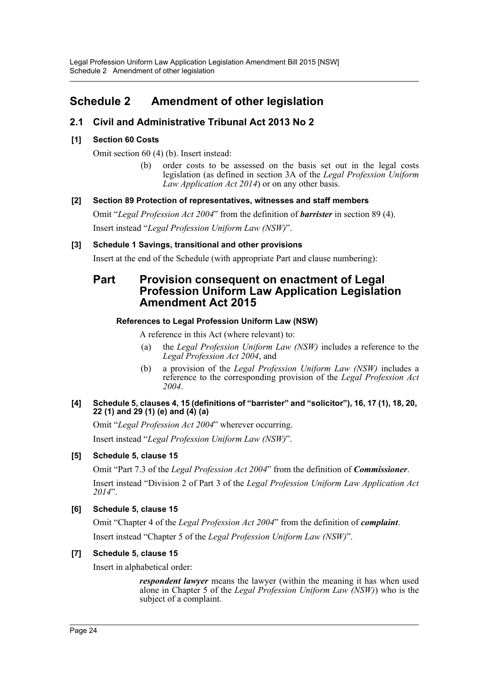# <span id="page-24-0"></span>**Schedule 2 Amendment of other legislation**

# **2.1 Civil and Administrative Tribunal Act 2013 No 2**

### **[1] Section 60 Costs**

Omit section 60 (4) (b). Insert instead:

(b) order costs to be assessed on the basis set out in the legal costs legislation (as defined in section 3A of the *Legal Profession Uniform Law Application Act 2014*) or on any other basis.

### **[2] Section 89 Protection of representatives, witnesses and staff members**

Omit "*Legal Profession Act 2004*" from the definition of *barrister* in section 89 (4). Insert instead "*Legal Profession Uniform Law (NSW)*".

### **[3] Schedule 1 Savings, transitional and other provisions**

Insert at the end of the Schedule (with appropriate Part and clause numbering):

# **Part Provision consequent on enactment of Legal Profession Uniform Law Application Legislation Amendment Act 2015**

### **References to Legal Profession Uniform Law (NSW)**

A reference in this Act (where relevant) to:

- (a) the *Legal Profession Uniform Law (NSW)* includes a reference to the *Legal Profession Act 2004*, and
- (b) a provision of the *Legal Profession Uniform Law (NSW)* includes a reference to the corresponding provision of the *Legal Profession Act 2004*.

### **[4] Schedule 5, clauses 4, 15 (definitions of "barrister" and "solicitor"), 16, 17 (1), 18, 20, 22 (1) and 29 (1) (e) and (4) (a)**

Omit "*Legal Profession Act 2004*" wherever occurring.

Insert instead "*Legal Profession Uniform Law (NSW)*".

### **[5] Schedule 5, clause 15**

Omit "Part 7.3 of the *Legal Profession Act 2004*" from the definition of *Commissioner*. Insert instead "Division 2 of Part 3 of the *Legal Profession Uniform Law Application Act 2014*".

### **[6] Schedule 5, clause 15**

Omit "Chapter 4 of the *Legal Profession Act 2004*" from the definition of *complaint*. Insert instead "Chapter 5 of the *Legal Profession Uniform Law (NSW)*".

### **[7] Schedule 5, clause 15**

Insert in alphabetical order:

*respondent lawyer* means the lawyer (within the meaning it has when used alone in Chapter 5 of the *Legal Profession Uniform Law (NSW)*) who is the subject of a complaint.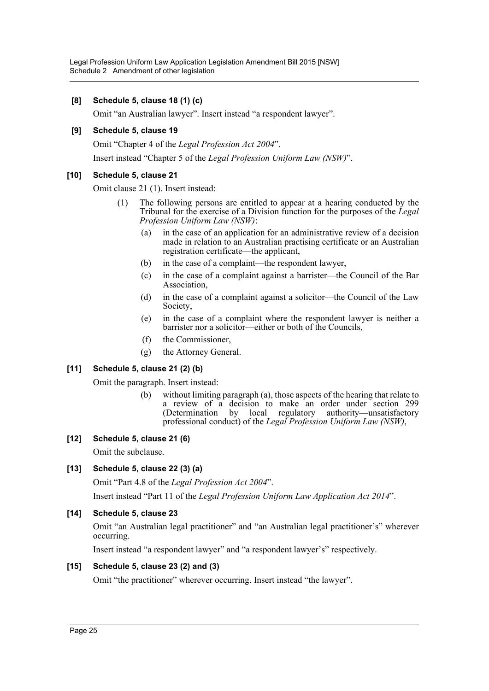### **[8] Schedule 5, clause 18 (1) (c)**

Omit "an Australian lawyer". Insert instead "a respondent lawyer".

### **[9] Schedule 5, clause 19**

Omit "Chapter 4 of the *Legal Profession Act 2004*".

Insert instead "Chapter 5 of the *Legal Profession Uniform Law (NSW)*".

### **[10] Schedule 5, clause 21**

Omit clause 21 (1). Insert instead:

- (1) The following persons are entitled to appear at a hearing conducted by the Tribunal for the exercise of a Division function for the purposes of the *Legal Profession Uniform Law (NSW)*:
	- (a) in the case of an application for an administrative review of a decision made in relation to an Australian practising certificate or an Australian registration certificate—the applicant,
	- (b) in the case of a complaint—the respondent lawyer,
	- (c) in the case of a complaint against a barrister—the Council of the Bar Association,
	- (d) in the case of a complaint against a solicitor—the Council of the Law Society,
	- (e) in the case of a complaint where the respondent lawyer is neither a barrister nor a solicitor—either or both of the Councils,
	- (f) the Commissioner,
	- (g) the Attorney General.

### **[11] Schedule 5, clause 21 (2) (b)**

Omit the paragraph. Insert instead:

(b) without limiting paragraph (a), those aspects of the hearing that relate to a review of a decision to make an order under section 299 (Determination by local regulatory authority—unsatisfactory professional conduct) of the *Legal Profession Uniform Law (NSW)*,

### **[12] Schedule 5, clause 21 (6)**

Omit the subclause.

### **[13] Schedule 5, clause 22 (3) (a)**

Omit "Part 4.8 of the *Legal Profession Act 2004*".

Insert instead "Part 11 of the *Legal Profession Uniform Law Application Act 2014*".

### **[14] Schedule 5, clause 23**

Omit "an Australian legal practitioner" and "an Australian legal practitioner's" wherever occurring.

Insert instead "a respondent lawyer" and "a respondent lawyer's" respectively.

### **[15] Schedule 5, clause 23 (2) and (3)**

Omit "the practitioner" wherever occurring. Insert instead "the lawyer".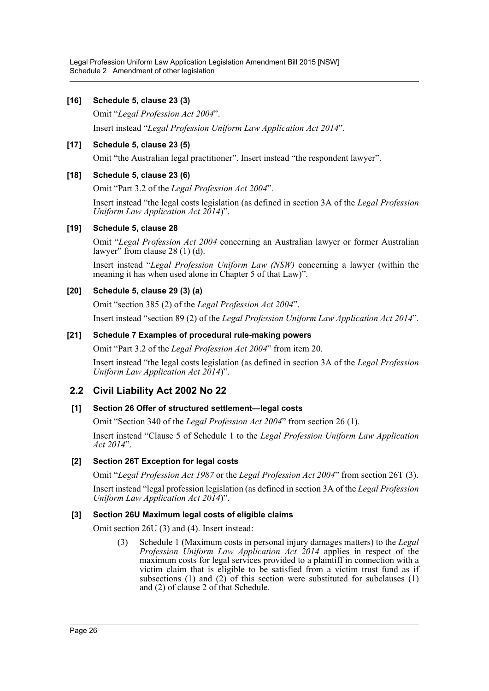### **[16] Schedule 5, clause 23 (3)**

Omit "*Legal Profession Act 2004*".

Insert instead "*Legal Profession Uniform Law Application Act 2014*".

### **[17] Schedule 5, clause 23 (5)**

Omit "the Australian legal practitioner". Insert instead "the respondent lawyer".

### **[18] Schedule 5, clause 23 (6)**

Omit "Part 3.2 of the *Legal Profession Act 2004*".

Insert instead "the legal costs legislation (as defined in section 3A of the *Legal Profession Uniform Law Application Act 2014*)".

### **[19] Schedule 5, clause 28**

Omit "*Legal Profession Act 2004* concerning an Australian lawyer or former Australian lawyer" from clause 28 (1) (d).

Insert instead "*Legal Profession Uniform Law (NSW)* concerning a lawyer (within the meaning it has when used alone in Chapter 5 of that Law)".

### **[20] Schedule 5, clause 29 (3) (a)**

Omit "section 385 (2) of the *Legal Profession Act 2004*".

Insert instead "section 89 (2) of the *Legal Profession Uniform Law Application Act 2014*".

### **[21] Schedule 7 Examples of procedural rule-making powers**

Omit "Part 3.2 of the *Legal Profession Act 2004*" from item 20.

Insert instead "the legal costs legislation (as defined in section 3A of the *Legal Profession Uniform Law Application Act 2014*)".

### **2.2 Civil Liability Act 2002 No 22**

### **[1] Section 26 Offer of structured settlement—legal costs**

Omit "Section 340 of the *Legal Profession Act 2004*" from section 26 (1).

Insert instead "Clause 5 of Schedule 1 to the *Legal Profession Uniform Law Application Act 2014*".

### **[2] Section 26T Exception for legal costs**

Omit "*Legal Profession Act 1987* or the *Legal Profession Act 2004*" from section 26T (3).

Insert instead "legal profession legislation (as defined in section 3A of the *Legal Profession Uniform Law Application Act 2014*)".

### **[3] Section 26U Maximum legal costs of eligible claims**

Omit section 26U (3) and (4). Insert instead:

(3) Schedule 1 (Maximum costs in personal injury damages matters) to the *Legal Profession Uniform Law Application Act 2014* applies in respect of the maximum costs for legal services provided to a plaintiff in connection with a victim claim that is eligible to be satisfied from a victim trust fund as if subsections  $(1)$  and  $(2)$  of this section were substituted for subclauses  $(1)$ and (2) of clause 2 of that Schedule.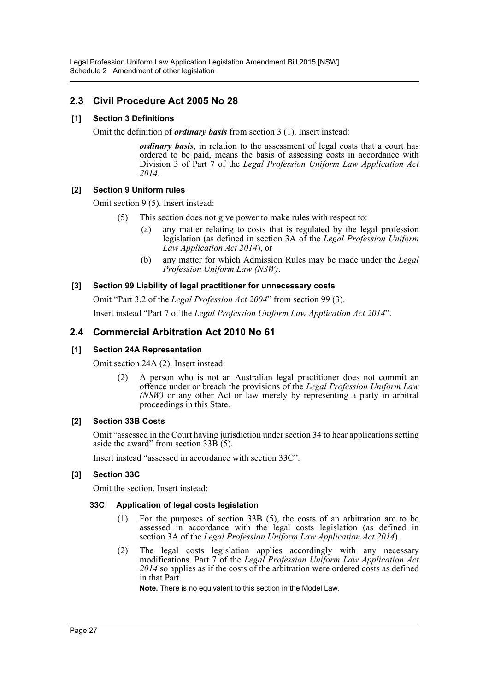### **2.3 Civil Procedure Act 2005 No 28**

### **[1] Section 3 Definitions**

Omit the definition of *ordinary basis* from section 3 (1). Insert instead:

*ordinary basis*, in relation to the assessment of legal costs that a court has ordered to be paid, means the basis of assessing costs in accordance with Division 3 of Part 7 of the *Legal Profession Uniform Law Application Act 2014*.

### **[2] Section 9 Uniform rules**

Omit section 9 (5). Insert instead:

- (5) This section does not give power to make rules with respect to:
	- (a) any matter relating to costs that is regulated by the legal profession legislation (as defined in section 3A of the *Legal Profession Uniform Law Application Act 2014*), or
	- (b) any matter for which Admission Rules may be made under the *Legal Profession Uniform Law (NSW)*.

### **[3] Section 99 Liability of legal practitioner for unnecessary costs**

Omit "Part 3.2 of the *Legal Profession Act 2004*" from section 99 (3).

Insert instead "Part 7 of the *Legal Profession Uniform Law Application Act 2014*".

### **2.4 Commercial Arbitration Act 2010 No 61**

### **[1] Section 24A Representation**

Omit section 24A (2). Insert instead:

(2) A person who is not an Australian legal practitioner does not commit an offence under or breach the provisions of the *Legal Profession Uniform Law (NSW)* or any other Act or law merely by representing a party in arbitral proceedings in this State.

### **[2] Section 33B Costs**

Omit "assessed in the Court having jurisdiction under section 34 to hear applications setting aside the award" from section  $33\overline{B}(5)$ .

Insert instead "assessed in accordance with section 33C".

### **[3] Section 33C**

Omit the section. Insert instead:

### **33C Application of legal costs legislation**

- (1) For the purposes of section 33B (5), the costs of an arbitration are to be assessed in accordance with the legal costs legislation (as defined in section 3A of the *Legal Profession Uniform Law Application Act 2014*).
- (2) The legal costs legislation applies accordingly with any necessary modifications. Part 7 of the *Legal Profession Uniform Law Application Act 2014* so applies as if the costs of the arbitration were ordered costs as defined in that Part.

**Note.** There is no equivalent to this section in the Model Law.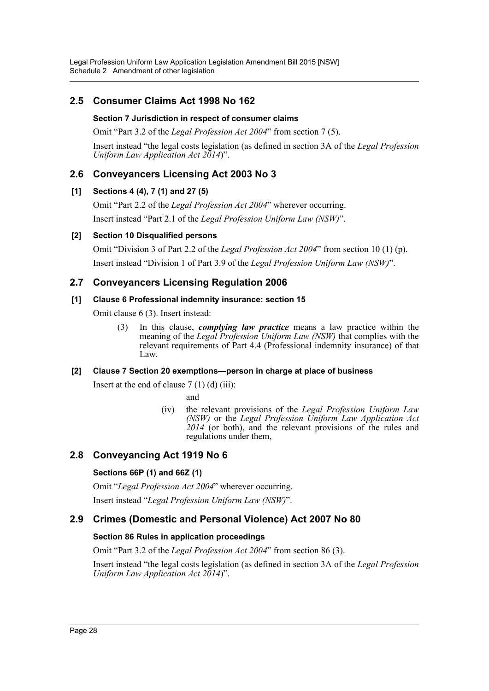# **2.5 Consumer Claims Act 1998 No 162**

### **Section 7 Jurisdiction in respect of consumer claims**

Omit "Part 3.2 of the *Legal Profession Act 2004*" from section 7 (5).

Insert instead "the legal costs legislation (as defined in section 3A of the *Legal Profession Uniform Law Application Act 2014*)".

# **2.6 Conveyancers Licensing Act 2003 No 3**

### **[1] Sections 4 (4), 7 (1) and 27 (5)**

Omit "Part 2.2 of the *Legal Profession Act 2004*" wherever occurring. Insert instead "Part 2.1 of the *Legal Profession Uniform Law (NSW)*".

### **[2] Section 10 Disqualified persons**

Omit "Division 3 of Part 2.2 of the *Legal Profession Act 2004*" from section 10 (1) (p). Insert instead "Division 1 of Part 3.9 of the *Legal Profession Uniform Law (NSW)*".

### **2.7 Conveyancers Licensing Regulation 2006**

### **[1] Clause 6 Professional indemnity insurance: section 15**

Omit clause 6 (3). Insert instead:

(3) In this clause, *complying law practice* means a law practice within the meaning of the *Legal Profession Uniform Law (NSW)* that complies with the relevant requirements of Part 4.4 (Professional indemnity insurance) of that Law.

### **[2] Clause 7 Section 20 exemptions—person in charge at place of business**

Insert at the end of clause  $7(1)(d)(iii)$ :

and

(iv) the relevant provisions of the *Legal Profession Uniform Law (NSW)* or the *Legal Profession Uniform Law Application Act* 2014 (or both), and the relevant provisions of the rules and regulations under them,

# **2.8 Conveyancing Act 1919 No 6**

### **Sections 66P (1) and 66Z (1)**

Omit "*Legal Profession Act 2004*" wherever occurring.

Insert instead "*Legal Profession Uniform Law (NSW)*".

### **2.9 Crimes (Domestic and Personal Violence) Act 2007 No 80**

### **Section 86 Rules in application proceedings**

Omit "Part 3.2 of the *Legal Profession Act 2004*" from section 86 (3).

Insert instead "the legal costs legislation (as defined in section 3A of the *Legal Profession Uniform Law Application Act 2014*)".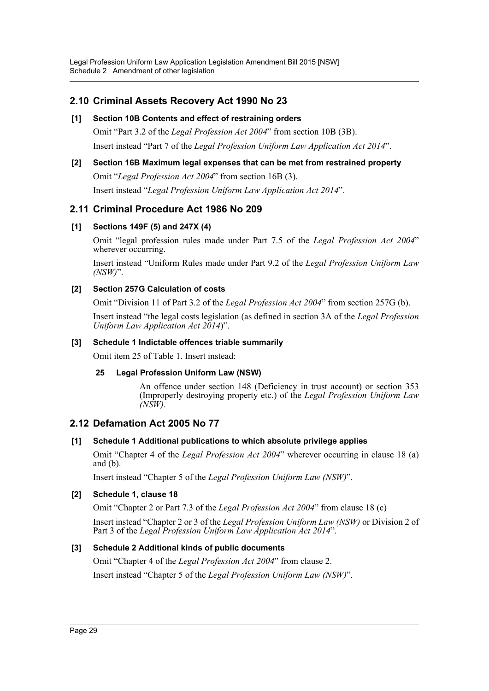# **2.10 Criminal Assets Recovery Act 1990 No 23**

### **[1] Section 10B Contents and effect of restraining orders**

Omit "Part 3.2 of the *Legal Profession Act 2004*" from section 10B (3B). Insert instead "Part 7 of the *Legal Profession Uniform Law Application Act 2014*".

### **[2] Section 16B Maximum legal expenses that can be met from restrained property** Omit "*Legal Profession Act 2004*" from section 16B (3).

Insert instead "*Legal Profession Uniform Law Application Act 2014*".

# **2.11 Criminal Procedure Act 1986 No 209**

### **[1] Sections 149F (5) and 247X (4)**

Omit "legal profession rules made under Part 7.5 of the *Legal Profession Act 2004*" wherever occurring.

Insert instead "Uniform Rules made under Part 9.2 of the *Legal Profession Uniform Law (NSW)*".

### **[2] Section 257G Calculation of costs**

Omit "Division 11 of Part 3.2 of the *Legal Profession Act 2004*" from section 257G (b).

Insert instead "the legal costs legislation (as defined in section 3A of the *Legal Profession Uniform Law Application Act 2014*)".

### **[3] Schedule 1 Indictable offences triable summarily**

Omit item 25 of Table 1. Insert instead:

### **25 Legal Profession Uniform Law (NSW)**

An offence under section 148 (Deficiency in trust account) or section 353 (Improperly destroying property etc.) of the *Legal Profession Uniform Law (NSW)*.

# **2.12 Defamation Act 2005 No 77**

### **[1] Schedule 1 Additional publications to which absolute privilege applies**

Omit "Chapter 4 of the *Legal Profession Act 2004*" wherever occurring in clause 18 (a) and (b).

Insert instead "Chapter 5 of the *Legal Profession Uniform Law (NSW)*".

### **[2] Schedule 1, clause 18**

Omit "Chapter 2 or Part 7.3 of the *Legal Profession Act 2004*" from clause 18 (c)

Insert instead "Chapter 2 or 3 of the *Legal Profession Uniform Law (NSW)* or Division 2 of Part 3 of the *Legal Profession Uniform Law Application Act 2014*".

### **[3] Schedule 2 Additional kinds of public documents**

Omit "Chapter 4 of the *Legal Profession Act 2004*" from clause 2.

Insert instead "Chapter 5 of the *Legal Profession Uniform Law (NSW)*".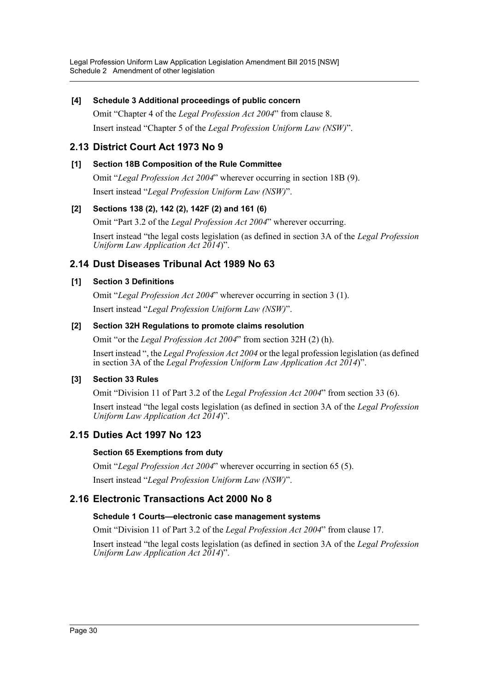### **[4] Schedule 3 Additional proceedings of public concern**

Omit "Chapter 4 of the *Legal Profession Act 2004*" from clause 8. Insert instead "Chapter 5 of the *Legal Profession Uniform Law (NSW)*".

### **2.13 District Court Act 1973 No 9**

### **[1] Section 18B Composition of the Rule Committee**

Omit "*Legal Profession Act 2004*" wherever occurring in section 18B (9). Insert instead "*Legal Profession Uniform Law (NSW)*".

### **[2] Sections 138 (2), 142 (2), 142F (2) and 161 (6)**

Omit "Part 3.2 of the *Legal Profession Act 2004*" wherever occurring.

Insert instead "the legal costs legislation (as defined in section 3A of the *Legal Profession Uniform Law Application Act 2014*)".

### **2.14 Dust Diseases Tribunal Act 1989 No 63**

### **[1] Section 3 Definitions**

Omit "*Legal Profession Act 2004*" wherever occurring in section 3 (1). Insert instead "*Legal Profession Uniform Law (NSW)*".

### **[2] Section 32H Regulations to promote claims resolution**

Omit "or the *Legal Profession Act 2004*" from section 32H (2) (h).

Insert instead ", the *Legal Profession Act 2004* or the legal profession legislation (as defined in section 3A of the *Legal Profession Uniform Law Application Act 2014*)".

### **[3] Section 33 Rules**

Omit "Division 11 of Part 3.2 of the *Legal Profession Act 2004*" from section 33 (6).

Insert instead "the legal costs legislation (as defined in section 3A of the *Legal Profession Uniform Law Application Act 2014*)".

### **2.15 Duties Act 1997 No 123**

### **Section 65 Exemptions from duty**

Omit "*Legal Profession Act 2004*" wherever occurring in section 65 (5). Insert instead "*Legal Profession Uniform Law (NSW)*".

### **2.16 Electronic Transactions Act 2000 No 8**

### **Schedule 1 Courts—electronic case management systems**

Omit "Division 11 of Part 3.2 of the *Legal Profession Act 2004*" from clause 17.

Insert instead "the legal costs legislation (as defined in section 3A of the *Legal Profession Uniform Law Application Act 2014*)".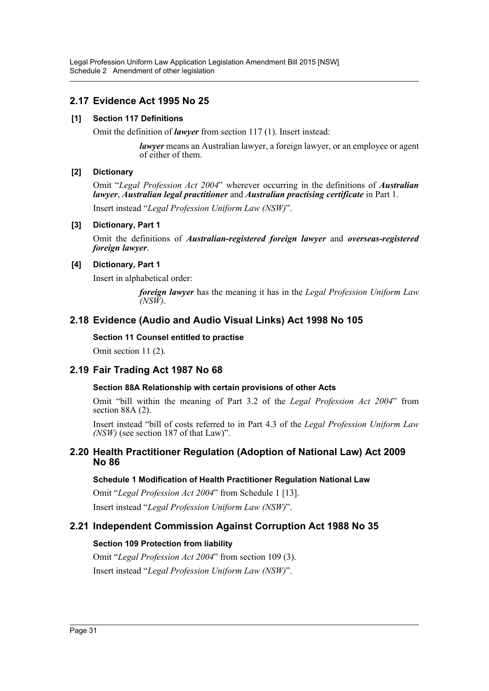# **2.17 Evidence Act 1995 No 25**

### **[1] Section 117 Definitions**

Omit the definition of *lawyer* from section 117 (1). Insert instead:

*lawyer* means an Australian lawyer, a foreign lawyer, or an employee or agent of either of them.

### **[2] Dictionary**

Omit "*Legal Profession Act 2004*" wherever occurring in the definitions of *Australian lawyer*, *Australian legal practitioner* and *Australian practising certificate* in Part 1. Insert instead "*Legal Profession Uniform Law (NSW)*".

### **[3] Dictionary, Part 1**

Omit the definitions of *Australian-registered foreign lawyer* and *overseas-registered foreign lawyer*.

### **[4] Dictionary, Part 1**

Insert in alphabetical order:

*foreign lawyer* has the meaning it has in the *Legal Profession Uniform Law (NSW)*.

### **2.18 Evidence (Audio and Audio Visual Links) Act 1998 No 105**

### **Section 11 Counsel entitled to practise**

Omit section 11 (2).

### **2.19 Fair Trading Act 1987 No 68**

### **Section 88A Relationship with certain provisions of other Acts**

Omit "bill within the meaning of Part 3.2 of the *Legal Profession Act 2004*" from section 88A (2).

Insert instead "bill of costs referred to in Part 4.3 of the *Legal Profession Uniform Law (NSW)* (see section 187 of that Law)".

### **2.20 Health Practitioner Regulation (Adoption of National Law) Act 2009 No 86**

### **Schedule 1 Modification of Health Practitioner Regulation National Law**

Omit "*Legal Profession Act 2004*" from Schedule 1 [13].

Insert instead "*Legal Profession Uniform Law (NSW)*".

### **2.21 Independent Commission Against Corruption Act 1988 No 35**

### **Section 109 Protection from liability**

Omit "*Legal Profession Act 2004*" from section 109 (3).

Insert instead "*Legal Profession Uniform Law (NSW)*".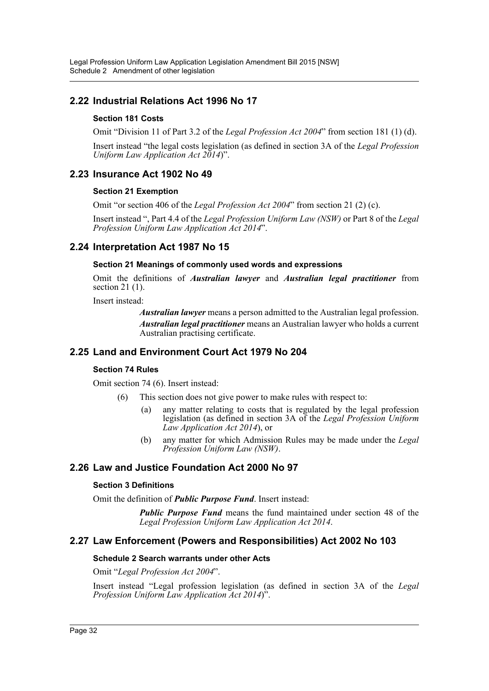# **2.22 Industrial Relations Act 1996 No 17**

### **Section 181 Costs**

Omit "Division 11 of Part 3.2 of the *Legal Profession Act 2004*" from section 181 (1) (d).

Insert instead "the legal costs legislation (as defined in section 3A of the *Legal Profession Uniform Law Application Act 2014*)".

### **2.23 Insurance Act 1902 No 49**

### **Section 21 Exemption**

Omit "or section 406 of the *Legal Profession Act 2004*" from section 21 (2) (c).

Insert instead ", Part 4.4 of the *Legal Profession Uniform Law (NSW)* or Part 8 of the *Legal Profession Uniform Law Application Act 2014*".

# **2.24 Interpretation Act 1987 No 15**

### **Section 21 Meanings of commonly used words and expressions**

Omit the definitions of *Australian lawyer* and *Australian legal practitioner* from section 21 (1).

Insert instead:

*Australian lawyer* means a person admitted to the Australian legal profession. *Australian legal practitioner* means an Australian lawyer who holds a current Australian practising certificate.

### **2.25 Land and Environment Court Act 1979 No 204**

### **Section 74 Rules**

Omit section 74 (6). Insert instead:

- (6) This section does not give power to make rules with respect to:
	- (a) any matter relating to costs that is regulated by the legal profession legislation (as defined in section 3A of the *Legal Profession Uniform Law Application Act 2014*), or
	- (b) any matter for which Admission Rules may be made under the *Legal Profession Uniform Law (NSW)*.

### **2.26 Law and Justice Foundation Act 2000 No 97**

### **Section 3 Definitions**

Omit the definition of *Public Purpose Fund*. Insert instead:

*Public Purpose Fund* means the fund maintained under section 48 of the *Legal Profession Uniform Law Application Act 2014*.

### **2.27 Law Enforcement (Powers and Responsibilities) Act 2002 No 103**

### **Schedule 2 Search warrants under other Acts**

Omit "*Legal Profession Act 2004*".

Insert instead "Legal profession legislation (as defined in section 3A of the *Legal Profession Uniform Law Application Act 2014*)".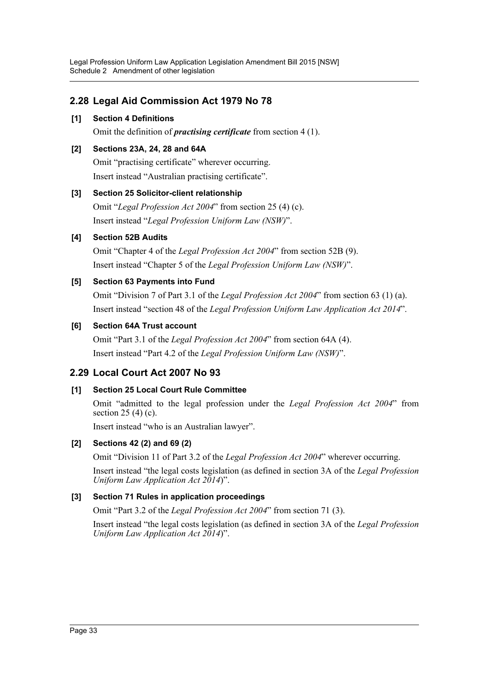# **2.28 Legal Aid Commission Act 1979 No 78**

### **[1] Section 4 Definitions**

Omit the definition of *practising certificate* from section 4 (1).

### **[2] Sections 23A, 24, 28 and 64A**

Omit "practising certificate" wherever occurring. Insert instead "Australian practising certificate".

### **[3] Section 25 Solicitor-client relationship**

Omit "*Legal Profession Act 2004*" from section 25 (4) (c). Insert instead "*Legal Profession Uniform Law (NSW)*".

### **[4] Section 52B Audits**

Omit "Chapter 4 of the *Legal Profession Act 2004*" from section 52B (9). Insert instead "Chapter 5 of the *Legal Profession Uniform Law (NSW)*".

### **[5] Section 63 Payments into Fund**

Omit "Division 7 of Part 3.1 of the *Legal Profession Act 2004*" from section 63 (1) (a). Insert instead "section 48 of the *Legal Profession Uniform Law Application Act 2014*".

### **[6] Section 64A Trust account**

Omit "Part 3.1 of the *Legal Profession Act 2004*" from section 64A (4). Insert instead "Part 4.2 of the *Legal Profession Uniform Law (NSW)*".

### **2.29 Local Court Act 2007 No 93**

### **[1] Section 25 Local Court Rule Committee**

Omit "admitted to the legal profession under the *Legal Profession Act 2004*" from section  $25(4)(c)$ .

Insert instead "who is an Australian lawyer".

### **[2] Sections 42 (2) and 69 (2)**

Omit "Division 11 of Part 3.2 of the *Legal Profession Act 2004*" wherever occurring.

Insert instead "the legal costs legislation (as defined in section 3A of the *Legal Profession Uniform Law Application Act 2014*)".

### **[3] Section 71 Rules in application proceedings**

Omit "Part 3.2 of the *Legal Profession Act 2004*" from section 71 (3).

Insert instead "the legal costs legislation (as defined in section 3A of the *Legal Profession Uniform Law Application Act 2014*)".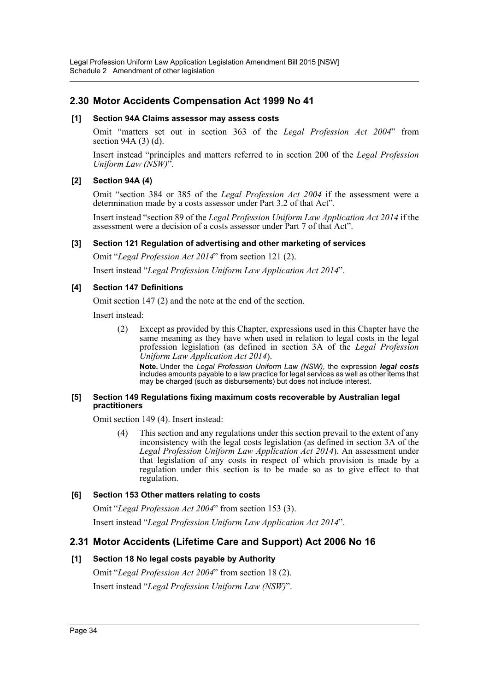# **2.30 Motor Accidents Compensation Act 1999 No 41**

### **[1] Section 94A Claims assessor may assess costs**

Omit "matters set out in section 363 of the *Legal Profession Act 2004*" from section 94A (3) (d).

Insert instead "principles and matters referred to in section 200 of the *Legal Profession Uniform Law (NSW)*".

### **[2] Section 94A (4)**

Omit "section 384 or 385 of the *Legal Profession Act 2004* if the assessment were a determination made by a costs assessor under Part 3.2 of that Act".

Insert instead "section 89 of the *Legal Profession Uniform Law Application Act 2014* if the assessment were a decision of a costs assessor under Part 7 of that Act".

### **[3] Section 121 Regulation of advertising and other marketing of services**

Omit "*Legal Profession Act 2014*" from section 121 (2).

Insert instead "*Legal Profession Uniform Law Application Act 2014*".

### **[4] Section 147 Definitions**

Omit section 147 (2) and the note at the end of the section.

Insert instead:

(2) Except as provided by this Chapter, expressions used in this Chapter have the same meaning as they have when used in relation to legal costs in the legal profession legislation (as defined in section 3A of the *Legal Profession Uniform Law Application Act 2014*).

**Note.** Under the *Legal Profession Uniform Law (NSW)*, the expression *legal costs* includes amounts payable to a law practice for legal services as well as other items that may be charged (such as disbursements) but does not include interest.

#### **[5] Section 149 Regulations fixing maximum costs recoverable by Australian legal practitioners**

Omit section 149 (4). Insert instead:

(4) This section and any regulations under this section prevail to the extent of any inconsistency with the legal costs legislation (as defined in section 3A of the *Legal Profession Uniform Law Application Act 2014*). An assessment under that legislation of any costs in respect of which provision is made by a regulation under this section is to be made so as to give effect to that regulation.

### **[6] Section 153 Other matters relating to costs**

Omit "*Legal Profession Act 2004*" from section 153 (3). Insert instead "*Legal Profession Uniform Law Application Act 2014*".

### **2.31 Motor Accidents (Lifetime Care and Support) Act 2006 No 16**

### **[1] Section 18 No legal costs payable by Authority**

Omit "*Legal Profession Act 2004*" from section 18 (2). Insert instead "*Legal Profession Uniform Law (NSW)*".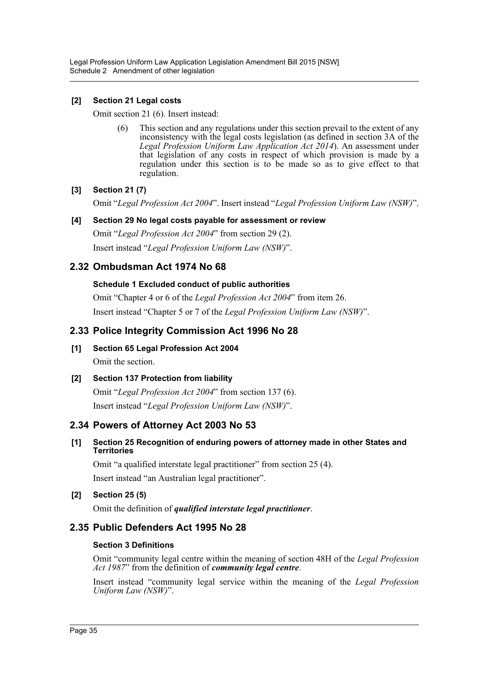### **[2] Section 21 Legal costs**

Omit section 21 (6). Insert instead:

(6) This section and any regulations under this section prevail to the extent of any inconsistency with the legal costs legislation (as defined in section 3A of the *Legal Profession Uniform Law Application Act 2014*). An assessment under that legislation of any costs in respect of which provision is made by a regulation under this section is to be made so as to give effect to that regulation.

### **[3] Section 21 (7)**

Omit "*Legal Profession Act 2004*". Insert instead "*Legal Profession Uniform Law (NSW)*".

### **[4] Section 29 No legal costs payable for assessment or review**

Omit "*Legal Profession Act 2004*" from section 29 (2). Insert instead "*Legal Profession Uniform Law (NSW)*".

### **2.32 Ombudsman Act 1974 No 68**

### **Schedule 1 Excluded conduct of public authorities**

Omit "Chapter 4 or 6 of the *Legal Profession Act 2004*" from item 26. Insert instead "Chapter 5 or 7 of the *Legal Profession Uniform Law (NSW)*".

### **2.33 Police Integrity Commission Act 1996 No 28**

**[1] Section 65 Legal Profession Act 2004**

Omit the section.

### **[2] Section 137 Protection from liability**

Omit "*Legal Profession Act 2004*" from section 137 (6). Insert instead "*Legal Profession Uniform Law (NSW)*".

### **2.34 Powers of Attorney Act 2003 No 53**

### **[1] Section 25 Recognition of enduring powers of attorney made in other States and Territories**

Omit "a qualified interstate legal practitioner" from section 25 (4). Insert instead "an Australian legal practitioner".

### **[2] Section 25 (5)**

Omit the definition of *qualified interstate legal practitioner*.

### **2.35 Public Defenders Act 1995 No 28**

### **Section 3 Definitions**

Omit "community legal centre within the meaning of section 48H of the *Legal Profession Act 1987*" from the definition of *community legal centre*.

Insert instead "community legal service within the meaning of the *Legal Profession Uniform Law (NSW)*".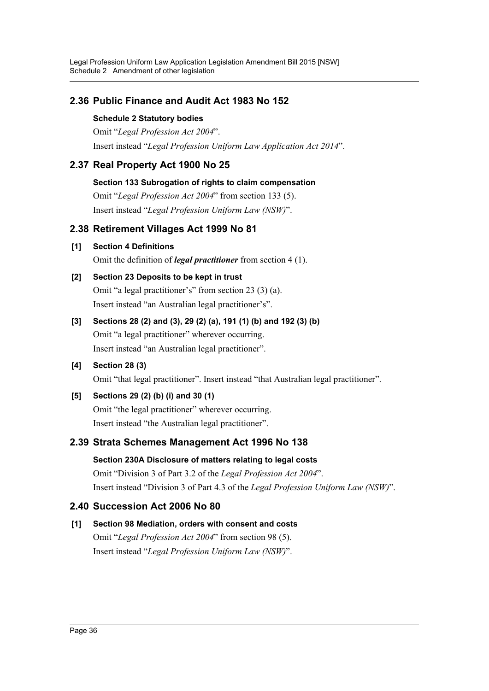# **2.36 Public Finance and Audit Act 1983 No 152**

### **Schedule 2 Statutory bodies**

Omit "*Legal Profession Act 2004*". Insert instead "*Legal Profession Uniform Law Application Act 2014*".

# **2.37 Real Property Act 1900 No 25**

### **Section 133 Subrogation of rights to claim compensation**

Omit "*Legal Profession Act 2004*" from section 133 (5). Insert instead "*Legal Profession Uniform Law (NSW)*".

# **2.38 Retirement Villages Act 1999 No 81**

**[1] Section 4 Definitions**

Omit the definition of *legal practitioner* from section 4 (1).

# **[2] Section 23 Deposits to be kept in trust**

Omit "a legal practitioner's" from section 23 (3) (a). Insert instead "an Australian legal practitioner's".

# **[3] Sections 28 (2) and (3), 29 (2) (a), 191 (1) (b) and 192 (3) (b)** Omit "a legal practitioner" wherever occurring. Insert instead "an Australian legal practitioner".

# **[4] Section 28 (3)**

Omit "that legal practitioner". Insert instead "that Australian legal practitioner".

# **[5] Sections 29 (2) (b) (i) and 30 (1)**

Omit "the legal practitioner" wherever occurring. Insert instead "the Australian legal practitioner".

# **2.39 Strata Schemes Management Act 1996 No 138**

# **Section 230A Disclosure of matters relating to legal costs** Omit "Division 3 of Part 3.2 of the *Legal Profession Act 2004*". Insert instead "Division 3 of Part 4.3 of the *Legal Profession Uniform Law (NSW)*".

# **2.40 Succession Act 2006 No 80**

# **[1] Section 98 Mediation, orders with consent and costs**

Omit "*Legal Profession Act 2004*" from section 98 (5). Insert instead "*Legal Profession Uniform Law (NSW)*".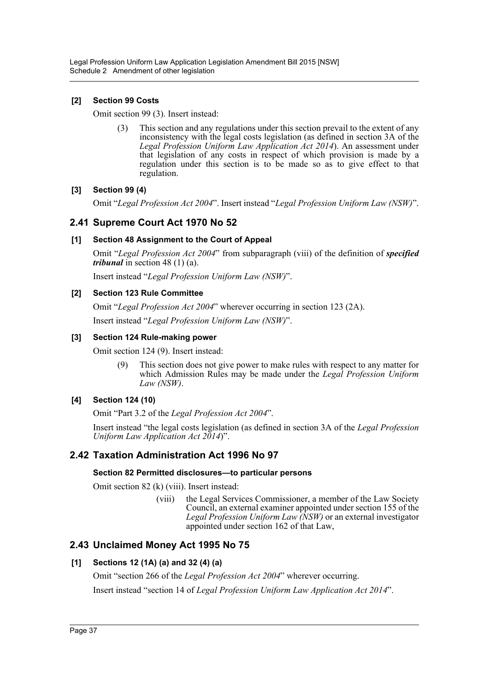### **[2] Section 99 Costs**

Omit section 99 (3). Insert instead:

(3) This section and any regulations under this section prevail to the extent of any inconsistency with the legal costs legislation (as defined in section 3A of the *Legal Profession Uniform Law Application Act 2014*). An assessment under that legislation of any costs in respect of which provision is made by a regulation under this section is to be made so as to give effect to that regulation.

### **[3] Section 99 (4)**

Omit "*Legal Profession Act 2004*". Insert instead "*Legal Profession Uniform Law (NSW)*".

### **2.41 Supreme Court Act 1970 No 52**

### **[1] Section 48 Assignment to the Court of Appeal**

Omit "*Legal Profession Act 2004*" from subparagraph (viii) of the definition of *specified tribunal* in section 48 (1) (a).

Insert instead "*Legal Profession Uniform Law (NSW)*".

### **[2] Section 123 Rule Committee**

Omit "*Legal Profession Act 2004*" wherever occurring in section 123 (2A).

Insert instead "*Legal Profession Uniform Law (NSW)*".

### **[3] Section 124 Rule-making power**

Omit section 124 (9). Insert instead:

(9) This section does not give power to make rules with respect to any matter for which Admission Rules may be made under the *Legal Profession Uniform Law (NSW)*.

### **[4] Section 124 (10)**

Omit "Part 3.2 of the *Legal Profession Act 2004*".

Insert instead "the legal costs legislation (as defined in section 3A of the *Legal Profession Uniform Law Application Act 2014*)".

### **2.42 Taxation Administration Act 1996 No 97**

### **Section 82 Permitted disclosures—to particular persons**

Omit section 82 (k) (viii). Insert instead:

(viii) the Legal Services Commissioner, a member of the Law Society Council, an external examiner appointed under section 155 of the *Legal Profession Uniform Law (NSW)* or an external investigator appointed under section 162 of that Law,

### **2.43 Unclaimed Money Act 1995 No 75**

### **[1] Sections 12 (1A) (a) and 32 (4) (a)**

Omit "section 266 of the *Legal Profession Act 2004*" wherever occurring. Insert instead "section 14 of *Legal Profession Uniform Law Application Act 2014*".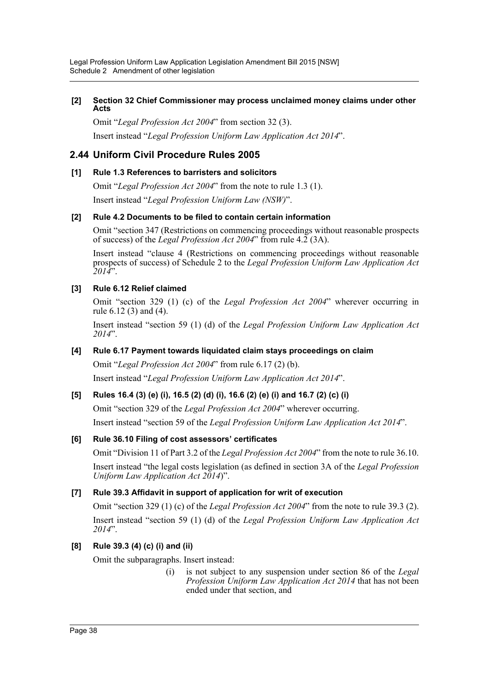### **[2] Section 32 Chief Commissioner may process unclaimed money claims under other Acts**

Omit "*Legal Profession Act 2004*" from section 32 (3).

Insert instead "*Legal Profession Uniform Law Application Act 2014*".

# **2.44 Uniform Civil Procedure Rules 2005**

### **[1] Rule 1.3 References to barristers and solicitors**

Omit "*Legal Profession Act 2004*" from the note to rule 1.3 (1). Insert instead "*Legal Profession Uniform Law (NSW)*".

### **[2] Rule 4.2 Documents to be filed to contain certain information**

Omit "section 347 (Restrictions on commencing proceedings without reasonable prospects of success) of the *Legal Profession Act 2004*" from rule 4.2 (3A).

Insert instead "clause 4 (Restrictions on commencing proceedings without reasonable prospects of success) of Schedule 2 to the *Legal Profession Uniform Law Application Act 2014*".

### **[3] Rule 6.12 Relief claimed**

Omit "section 329 (1) (c) of the *Legal Profession Act 2004*" wherever occurring in rule 6.12 (3) and (4).

Insert instead "section 59 (1) (d) of the *Legal Profession Uniform Law Application Act 2014*".

### **[4] Rule 6.17 Payment towards liquidated claim stays proceedings on claim**

Omit "*Legal Profession Act 2004*" from rule 6.17 (2) (b). Insert instead "*Legal Profession Uniform Law Application Act 2014*".

### **[5] Rules 16.4 (3) (e) (i), 16.5 (2) (d) (i), 16.6 (2) (e) (i) and 16.7 (2) (c) (i)**

Omit "section 329 of the *Legal Profession Act 2004*" wherever occurring. Insert instead "section 59 of the *Legal Profession Uniform Law Application Act 2014*".

### **[6] Rule 36.10 Filing of cost assessors' certificates**

Omit "Division 11 of Part 3.2 of the *Legal Profession Act 2004*" from the note to rule 36.10.

Insert instead "the legal costs legislation (as defined in section 3A of the *Legal Profession Uniform Law Application Act 2014*)".

### **[7] Rule 39.3 Affidavit in support of application for writ of execution**

Omit "section 329 (1) (c) of the *Legal Profession Act 2004*" from the note to rule 39.3 (2). Insert instead "section 59 (1) (d) of the *Legal Profession Uniform Law Application Act 2014*".

### **[8] Rule 39.3 (4) (c) (i) and (ii)**

Omit the subparagraphs. Insert instead:

(i) is not subject to any suspension under section 86 of the *Legal Profession Uniform Law Application Act 2014* that has not been ended under that section, and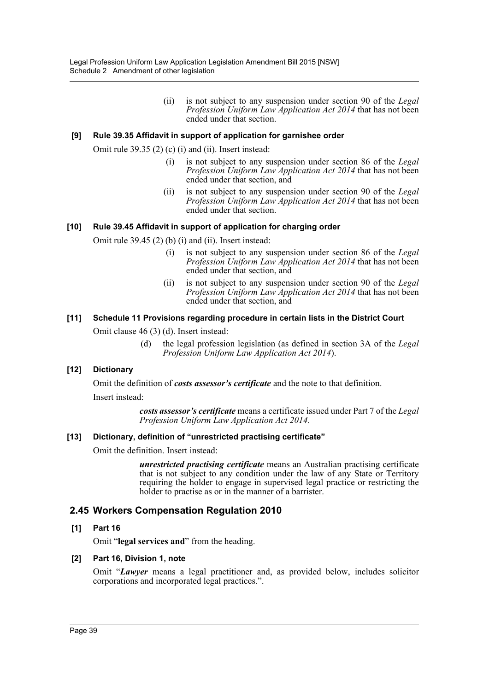(ii) is not subject to any suspension under section 90 of the *Legal Profession Uniform Law Application Act 2014* that has not been ended under that section.

### **[9] Rule 39.35 Affidavit in support of application for garnishee order**

Omit rule 39.35 (2) (c) (i) and (ii). Insert instead:

- (i) is not subject to any suspension under section 86 of the *Legal Profession Uniform Law Application Act 2014* that has not been ended under that section, and
- (ii) is not subject to any suspension under section 90 of the *Legal Profession Uniform Law Application Act 2014* that has not been ended under that section.

### **[10] Rule 39.45 Affidavit in support of application for charging order**

Omit rule 39.45 (2) (b) (i) and (ii). Insert instead:

- (i) is not subject to any suspension under section 86 of the *Legal Profession Uniform Law Application Act 2014* that has not been ended under that section, and
- (ii) is not subject to any suspension under section 90 of the *Legal Profession Uniform Law Application Act 2014* that has not been ended under that section, and

### **[11] Schedule 11 Provisions regarding procedure in certain lists in the District Court**

Omit clause 46 (3) (d). Insert instead:

(d) the legal profession legislation (as defined in section 3A of the *Legal Profession Uniform Law Application Act 2014*).

### **[12] Dictionary**

Omit the definition of *costs assessor's certificate* and the note to that definition. Insert instead:

> *costs assessor's certificate* means a certificate issued under Part 7 of the *Legal Profession Uniform Law Application Act 2014*.

### **[13] Dictionary, definition of "unrestricted practising certificate"**

Omit the definition. Insert instead:

*unrestricted practising certificate* means an Australian practising certificate that is not subject to any condition under the law of any State or Territory requiring the holder to engage in supervised legal practice or restricting the holder to practise as or in the manner of a barrister.

### **2.45 Workers Compensation Regulation 2010**

### **[1] Part 16**

Omit "**legal services and**" from the heading.

### **[2] Part 16, Division 1, note**

Omit "*Lawyer* means a legal practitioner and, as provided below, includes solicitor corporations and incorporated legal practices.".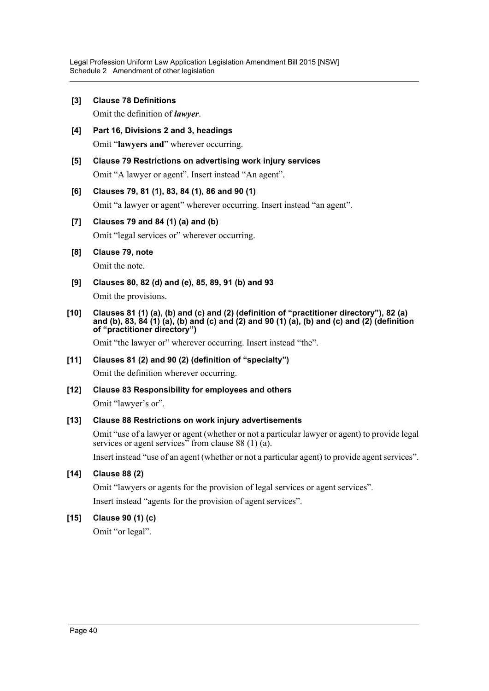**[3] Clause 78 Definitions**

Omit the definition of *lawyer*.

- **[4] Part 16, Divisions 2 and 3, headings** Omit "**lawyers and**" wherever occurring.
- **[5] Clause 79 Restrictions on advertising work injury services** Omit "A lawyer or agent". Insert instead "An agent".

### **[6] Clauses 79, 81 (1), 83, 84 (1), 86 and 90 (1)**

Omit "a lawyer or agent" wherever occurring. Insert instead "an agent".

### **[7] Clauses 79 and 84 (1) (a) and (b)**

Omit "legal services or" wherever occurring.

### **[8] Clause 79, note**

Omit the note.

**[9] Clauses 80, 82 (d) and (e), 85, 89, 91 (b) and 93**

Omit the provisions.

**[10] Clauses 81 (1) (a), (b) and (c) and (2) (definition of "practitioner directory"), 82 (a) and (b), 83, 84 (1) (a), (b) and (c) and (2) and 90 (1) (a), (b) and (c) and (2) (definition of "practitioner directory")**

Omit "the lawyer or" wherever occurring. Insert instead "the".

**[11] Clauses 81 (2) and 90 (2) (definition of "specialty")**

Omit the definition wherever occurring.

**[12] Clause 83 Responsibility for employees and others** Omit "lawyer's or".

### **[13] Clause 88 Restrictions on work injury advertisements**

Omit "use of a lawyer or agent (whether or not a particular lawyer or agent) to provide legal services or agent services" from clause 88 (1)  $(a)$ .

Insert instead "use of an agent (whether or not a particular agent) to provide agent services".

**[14] Clause 88 (2)**

Omit "lawyers or agents for the provision of legal services or agent services".

Insert instead "agents for the provision of agent services".

### **[15] Clause 90 (1) (c)**

Omit "or legal".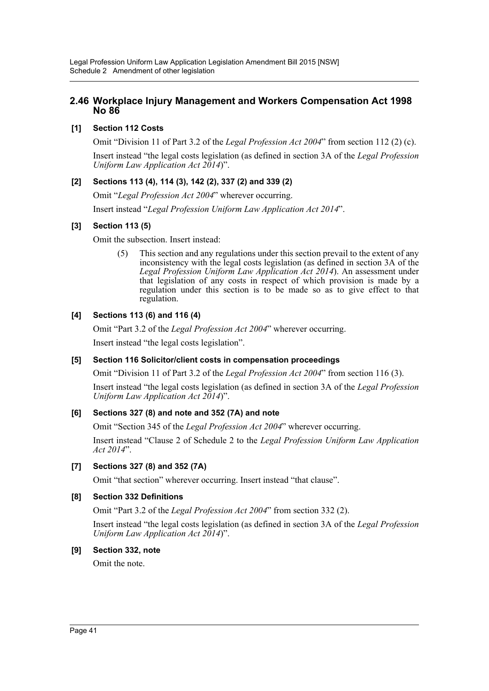### **2.46 Workplace Injury Management and Workers Compensation Act 1998 No 86**

### **[1] Section 112 Costs**

Omit "Division 11 of Part 3.2 of the *Legal Profession Act 2004*" from section 112 (2) (c).

Insert instead "the legal costs legislation (as defined in section 3A of the *Legal Profession Uniform Law Application Act 2014*)".

### **[2] Sections 113 (4), 114 (3), 142 (2), 337 (2) and 339 (2)**

Omit "*Legal Profession Act 2004*" wherever occurring.

Insert instead "*Legal Profession Uniform Law Application Act 2014*".

### **[3] Section 113 (5)**

Omit the subsection. Insert instead:

(5) This section and any regulations under this section prevail to the extent of any inconsistency with the legal costs legislation (as defined in section 3A of the *Legal Profession Uniform Law Application Act 2014*). An assessment under that legislation of any costs in respect of which provision is made by a regulation under this section is to be made so as to give effect to that regulation.

### **[4] Sections 113 (6) and 116 (4)**

Omit "Part 3.2 of the *Legal Profession Act 2004*" wherever occurring.

Insert instead "the legal costs legislation".

### **[5] Section 116 Solicitor/client costs in compensation proceedings**

Omit "Division 11 of Part 3.2 of the *Legal Profession Act 2004*" from section 116 (3).

Insert instead "the legal costs legislation (as defined in section 3A of the *Legal Profession Uniform Law Application Act 2014*)".

### **[6] Sections 327 (8) and note and 352 (7A) and note**

Omit "Section 345 of the *Legal Profession Act 2004*" wherever occurring.

Insert instead "Clause 2 of Schedule 2 to the *Legal Profession Uniform Law Application Act 2014*".

### **[7] Sections 327 (8) and 352 (7A)**

Omit "that section" wherever occurring. Insert instead "that clause".

### **[8] Section 332 Definitions**

Omit "Part 3.2 of the *Legal Profession Act 2004*" from section 332 (2).

Insert instead "the legal costs legislation (as defined in section 3A of the *Legal Profession Uniform Law Application Act 2014*)".

### **[9] Section 332, note**

Omit the note.